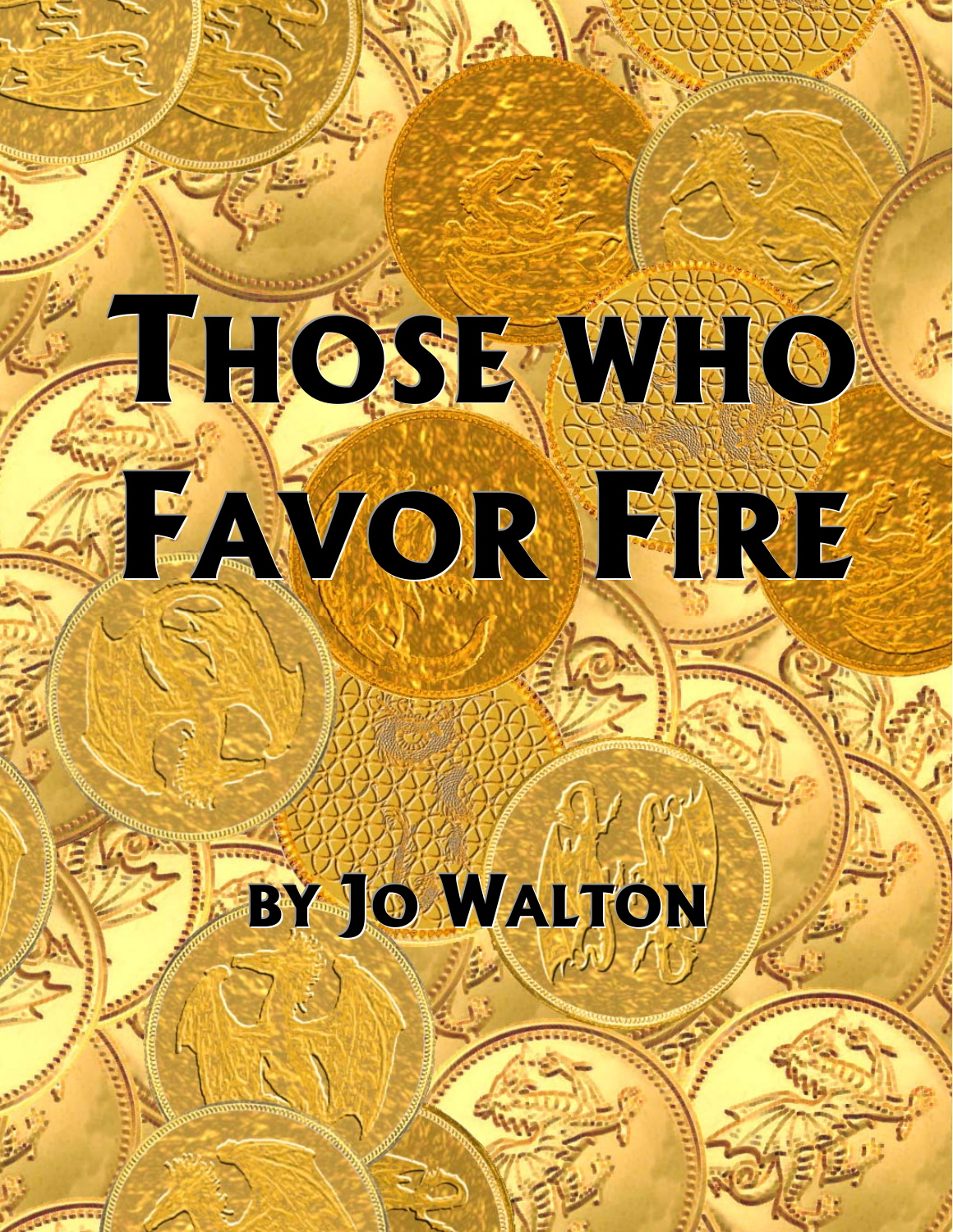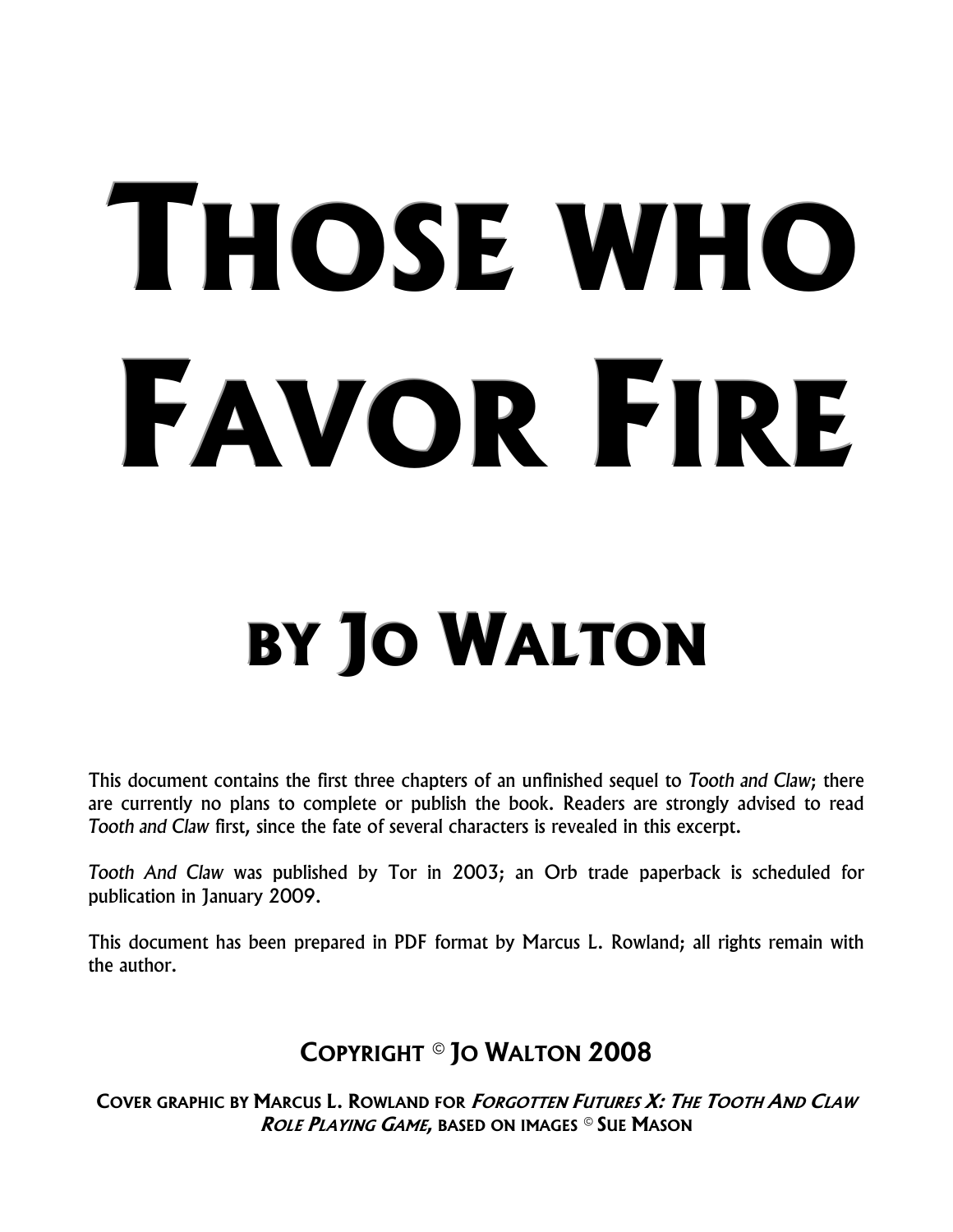# **THOSE WHO FAVOR FIRE**

### **BY JO WALTON**

This document contains the first three chapters of an unfinished sequel to *Tooth and Claw*; there are currently no plans to complete or publish the book. Readers are strongly advised to read *Tooth and Claw* first, since the fate of several characters is revealed in this excerpt.

*Tooth And Claw* was published by Tor in 2003; an Orb trade paperback is scheduled for publication in January 2009.

This document has been prepared in PDF format by Marcus L. Rowland; all rights remain with the author.

#### **COPYRIGHT © JO WALTON 2008**

**COVER GRAPHIC BY MARCUS L. ROWLAND FOR FORGOTTEN FUTURES X: THE TOOTH AND CLAW ROLE PLAYING GAME, BASED ON IMAGES © SUE MASON**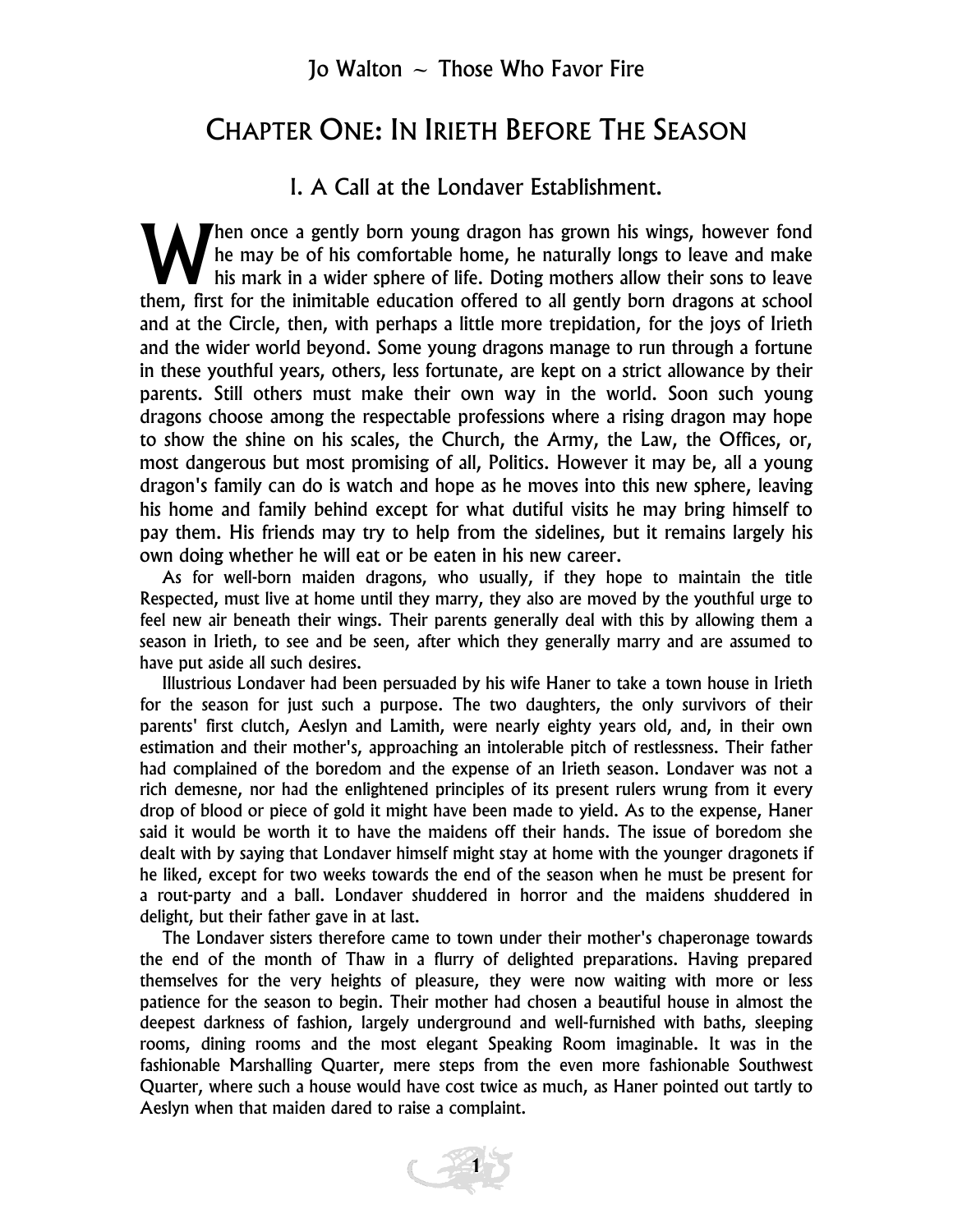#### CHAPTER ONE: IN IRIETH BEFORE THE SEASON

#### I. A Call at the Londaver Establishment.

hen once a gently born young dragon has grown his wings, however fond he may be of his comfortable home, he naturally longs to leave and make his mark in a wider sphere of life. Doting mothers allow their sons to leave Then once a gently born young dragon has grown his wings, however fond<br>he may be of his comfortable home, he naturally longs to leave and make<br>them, first for the inimitable education offered to all gently born dragons at and at the Circle, then, with perhaps a little more trepidation, for the joys of Irieth and the wider world beyond. Some young dragons manage to run through a fortune in these youthful years, others, less fortunate, are kept on a strict allowance by their parents. Still others must make their own way in the world. Soon such young dragons choose among the respectable professions where a rising dragon may hope to show the shine on his scales, the Church, the Army, the Law, the Offices, or, most dangerous but most promising of all, Politics. However it may be, all a young dragon's family can do is watch and hope as he moves into this new sphere, leaving his home and family behind except for what dutiful visits he may bring himself to pay them. His friends may try to help from the sidelines, but it remains largely his own doing whether he will eat or be eaten in his new career.

As for well-born maiden dragons, who usually, if they hope to maintain the title Respected, must live at home until they marry, they also are moved by the youthful urge to feel new air beneath their wings. Their parents generally deal with this by allowing them a season in Irieth, to see and be seen, after which they generally marry and are assumed to have put aside all such desires.

Illustrious Londaver had been persuaded by his wife Haner to take a town house in Irieth for the season for just such a purpose. The two daughters, the only survivors of their parents' first clutch, Aeslyn and Lamith, were nearly eighty years old, and, in their own estimation and their mother's, approaching an intolerable pitch of restlessness. Their father had complained of the boredom and the expense of an Irieth season. Londaver was not a rich demesne, nor had the enlightened principles of its present rulers wrung from it every drop of blood or piece of gold it might have been made to yield. As to the expense, Haner said it would be worth it to have the maidens off their hands. The issue of boredom she dealt with by saying that Londaver himself might stay at home with the younger dragonets if he liked, except for two weeks towards the end of the season when he must be present for a rout-party and a ball. Londaver shuddered in horror and the maidens shuddered in delight, but their father gave in at last.

The Londaver sisters therefore came to town under their mother's chaperonage towards the end of the month of Thaw in a flurry of delighted preparations. Having prepared themselves for the very heights of pleasure, they were now waiting with more or less patience for the season to begin. Their mother had chosen a beautiful house in almost the deepest darkness of fashion, largely underground and well-furnished with baths, sleeping rooms, dining rooms and the most elegant Speaking Room imaginable. It was in the fashionable Marshalling Quarter, mere steps from the even more fashionable Southwest Quarter, where such a house would have cost twice as much, as Haner pointed out tartly to Aeslyn when that maiden dared to raise a complaint.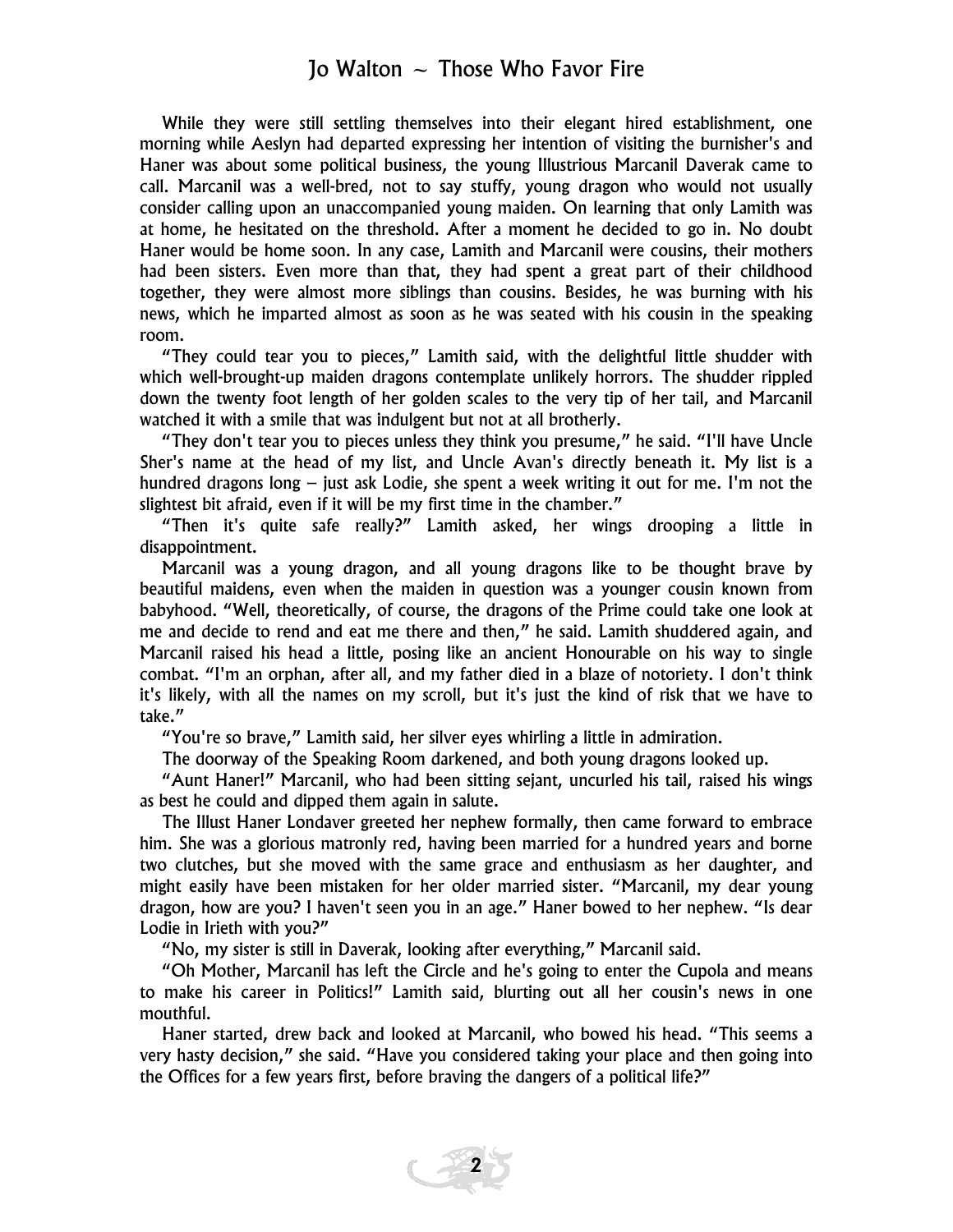While they were still settling themselves into their elegant hired establishment, one morning while Aeslyn had departed expressing her intention of visiting the burnisher's and Haner was about some political business, the young Illustrious Marcanil Daverak came to call. Marcanil was a well-bred, not to say stuffy, young dragon who would not usually consider calling upon an unaccompanied young maiden. On learning that only Lamith was at home, he hesitated on the threshold. After a moment he decided to go in. No doubt Haner would be home soon. In any case, Lamith and Marcanil were cousins, their mothers had been sisters. Even more than that, they had spent a great part of their childhood together, they were almost more siblings than cousins. Besides, he was burning with his news, which he imparted almost as soon as he was seated with his cousin in the speaking room.

"They could tear you to pieces," Lamith said, with the delightful little shudder with which well-brought-up maiden dragons contemplate unlikely horrors. The shudder rippled down the twenty foot length of her golden scales to the very tip of her tail, and Marcanil watched it with a smile that was indulgent but not at all brotherly.

"They don't tear you to pieces unless they think you presume," he said. "I'll have Uncle Sher's name at the head of my list, and Uncle Avan's directly beneath it. My list is a hundred dragons long – just ask Lodie, she spent a week writing it out for me. I'm not the slightest bit afraid, even if it will be my first time in the chamber."

"Then it's quite safe really?" Lamith asked, her wings drooping a little in disappointment.

Marcanil was a young dragon, and all young dragons like to be thought brave by beautiful maidens, even when the maiden in question was a younger cousin known from babyhood. "Well, theoretically, of course, the dragons of the Prime could take one look at me and decide to rend and eat me there and then," he said. Lamith shuddered again, and Marcanil raised his head a little, posing like an ancient Honourable on his way to single combat. "I'm an orphan, after all, and my father died in a blaze of notoriety. I don't think it's likely, with all the names on my scroll, but it's just the kind of risk that we have to take."

"You're so brave," Lamith said, her silver eyes whirling a little in admiration.

The doorway of the Speaking Room darkened, and both young dragons looked up.

"Aunt Haner!" Marcanil, who had been sitting sejant, uncurled his tail, raised his wings as best he could and dipped them again in salute.

The Illust Haner Londaver greeted her nephew formally, then came forward to embrace him. She was a glorious matronly red, having been married for a hundred years and borne two clutches, but she moved with the same grace and enthusiasm as her daughter, and might easily have been mistaken for her older married sister. "Marcanil, my dear young dragon, how are you? I haven't seen you in an age." Haner bowed to her nephew. "Is dear Lodie in Irieth with you?"

"No, my sister is still in Daverak, looking after everything," Marcanil said.

"Oh Mother, Marcanil has left the Circle and he's going to enter the Cupola and means to make his career in Politics!" Lamith said, blurting out all her cousin's news in one mouthful.

Haner started, drew back and looked at Marcanil, who bowed his head. "This seems a very hasty decision," she said. "Have you considered taking your place and then going into the Offices for a few years first, before braving the dangers of a political life?"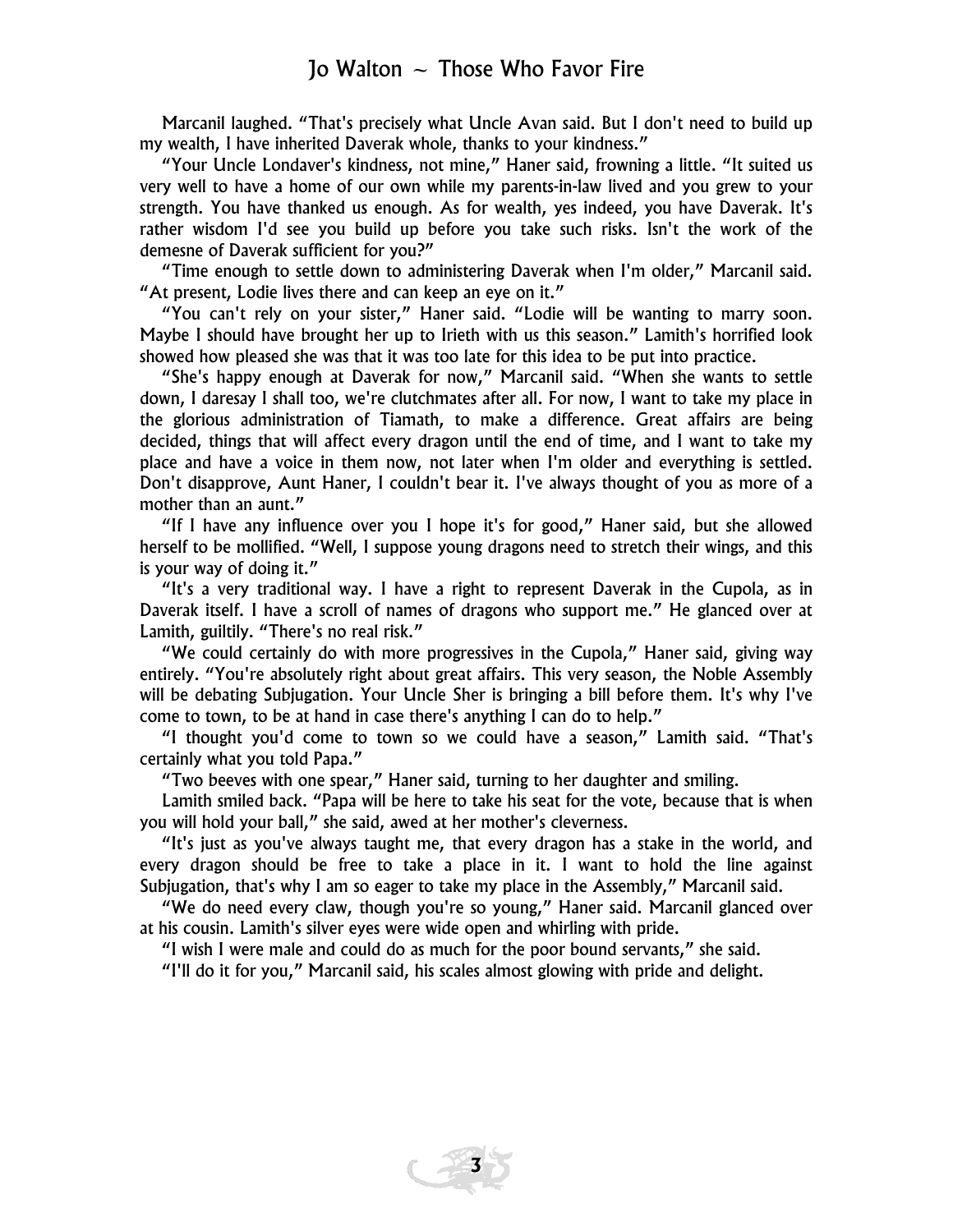Marcanil laughed. "That's precisely what Uncle Avan said. But I don't need to build up my wealth, I have inherited Daverak whole, thanks to your kindness."

"Your Uncle Londaver's kindness, not mine," Haner said, frowning a little. "It suited us very well to have a home of our own while my parents-in-law lived and you grew to your strength. You have thanked us enough. As for wealth, yes indeed, you have Daverak. It's rather wisdom I'd see you build up before you take such risks. Isn't the work of the demesne of Daverak sufficient for you?"

"Time enough to settle down to administering Daverak when I'm older," Marcanil said. "At present, Lodie lives there and can keep an eye on it."

"You can't rely on your sister," Haner said. "Lodie will be wanting to marry soon. Maybe I should have brought her up to Irieth with us this season." Lamith's horrified look showed how pleased she was that it was too late for this idea to be put into practice.

"She's happy enough at Daverak for now," Marcanil said. "When she wants to settle down, I daresay I shall too, we're clutchmates after all. For now, I want to take my place in the glorious administration of Tiamath, to make a difference. Great affairs are being decided, things that will affect every dragon until the end of time, and I want to take my place and have a voice in them now, not later when I'm older and everything is settled. Don't disapprove, Aunt Haner, I couldn't bear it. I've always thought of you as more of a mother than an aunt."

"If I have any influence over you I hope it's for good," Haner said, but she allowed herself to be mollified. "Well, I suppose young dragons need to stretch their wings, and this is your way of doing it."

"It's a very traditional way. I have a right to represent Daverak in the Cupola, as in Daverak itself. I have a scroll of names of dragons who support me." He glanced over at Lamith, guiltily. "There's no real risk."

"We could certainly do with more progressives in the Cupola," Haner said, giving way entirely. "You're absolutely right about great affairs. This very season, the Noble Assembly will be debating Subjugation. Your Uncle Sher is bringing a bill before them. It's why I've come to town, to be at hand in case there's anything I can do to help."

"I thought you'd come to town so we could have a season," Lamith said. "That's certainly what you told Papa."

"Two beeves with one spear," Haner said, turning to her daughter and smiling.

Lamith smiled back. "Papa will be here to take his seat for the vote, because that is when you will hold your ball," she said, awed at her mother's cleverness.

"It's just as you've always taught me, that every dragon has a stake in the world, and every dragon should be free to take a place in it. I want to hold the line against Subjugation, that's why I am so eager to take my place in the Assembly," Marcanil said.

"We do need every claw, though you're so young," Haner said. Marcanil glanced over at his cousin. Lamith's silver eyes were wide open and whirling with pride.

**3** 

"I wish I were male and could do as much for the poor bound servants," she said.

"I'll do it for you," Marcanil said, his scales almost glowing with pride and delight.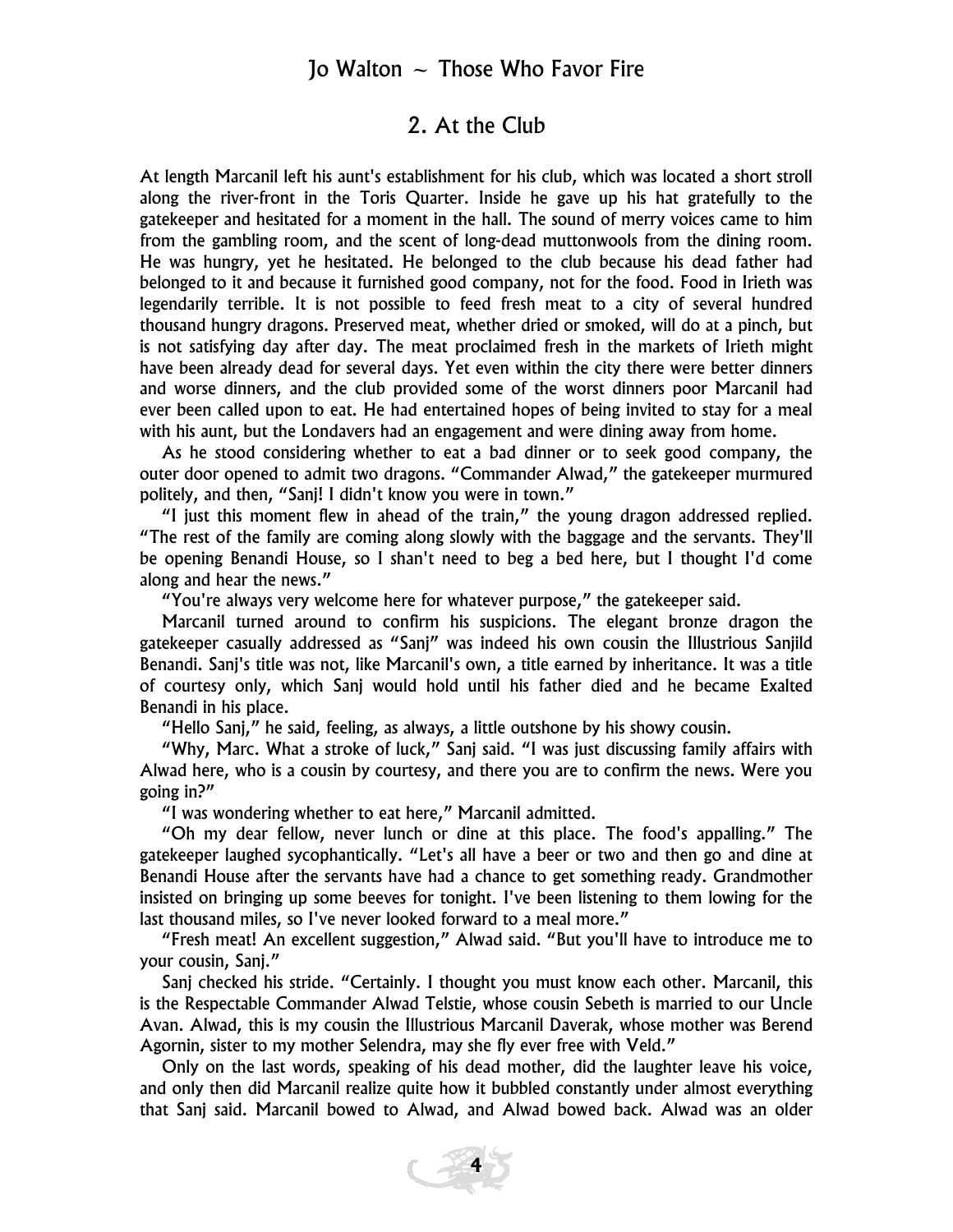#### 2. At the Club

At length Marcanil left his aunt's establishment for his club, which was located a short stroll along the river-front in the Toris Quarter. Inside he gave up his hat gratefully to the gatekeeper and hesitated for a moment in the hall. The sound of merry voices came to him from the gambling room, and the scent of long-dead muttonwools from the dining room. He was hungry, yet he hesitated. He belonged to the club because his dead father had belonged to it and because it furnished good company, not for the food. Food in Irieth was legendarily terrible. It is not possible to feed fresh meat to a city of several hundred thousand hungry dragons. Preserved meat, whether dried or smoked, will do at a pinch, but is not satisfying day after day. The meat proclaimed fresh in the markets of Irieth might have been already dead for several days. Yet even within the city there were better dinners and worse dinners, and the club provided some of the worst dinners poor Marcanil had ever been called upon to eat. He had entertained hopes of being invited to stay for a meal with his aunt, but the Londavers had an engagement and were dining away from home.

As he stood considering whether to eat a bad dinner or to seek good company, the outer door opened to admit two dragons. "Commander Alwad," the gatekeeper murmured politely, and then, "Sanj! I didn't know you were in town."

"I just this moment flew in ahead of the train," the young dragon addressed replied. "The rest of the family are coming along slowly with the baggage and the servants. They'll be opening Benandi House, so I shan't need to beg a bed here, but I thought I'd come along and hear the news."

"You're always very welcome here for whatever purpose," the gatekeeper said.

Marcanil turned around to confirm his suspicions. The elegant bronze dragon the gatekeeper casually addressed as "Sanj" was indeed his own cousin the Illustrious Sanjild Benandi. Sanj's title was not, like Marcanil's own, a title earned by inheritance. It was a title of courtesy only, which Sanj would hold until his father died and he became Exalted Benandi in his place.

"Hello Sanj," he said, feeling, as always, a little outshone by his showy cousin.

"Why, Marc. What a stroke of luck," Sanj said. "I was just discussing family affairs with Alwad here, who is a cousin by courtesy, and there you are to confirm the news. Were you going in?"

"I was wondering whether to eat here," Marcanil admitted.

"Oh my dear fellow, never lunch or dine at this place. The food's appalling." The gatekeeper laughed sycophantically. "Let's all have a beer or two and then go and dine at Benandi House after the servants have had a chance to get something ready. Grandmother insisted on bringing up some beeves for tonight. I've been listening to them lowing for the last thousand miles, so I've never looked forward to a meal more."

"Fresh meat! An excellent suggestion," Alwad said. "But you'll have to introduce me to your cousin, Sanj."

Sanj checked his stride. "Certainly. I thought you must know each other. Marcanil, this is the Respectable Commander Alwad Telstie, whose cousin Sebeth is married to our Uncle Avan. Alwad, this is my cousin the Illustrious Marcanil Daverak, whose mother was Berend Agornin, sister to my mother Selendra, may she fly ever free with Veld."

Only on the last words, speaking of his dead mother, did the laughter leave his voice, and only then did Marcanil realize quite how it bubbled constantly under almost everything that Sanj said. Marcanil bowed to Alwad, and Alwad bowed back. Alwad was an older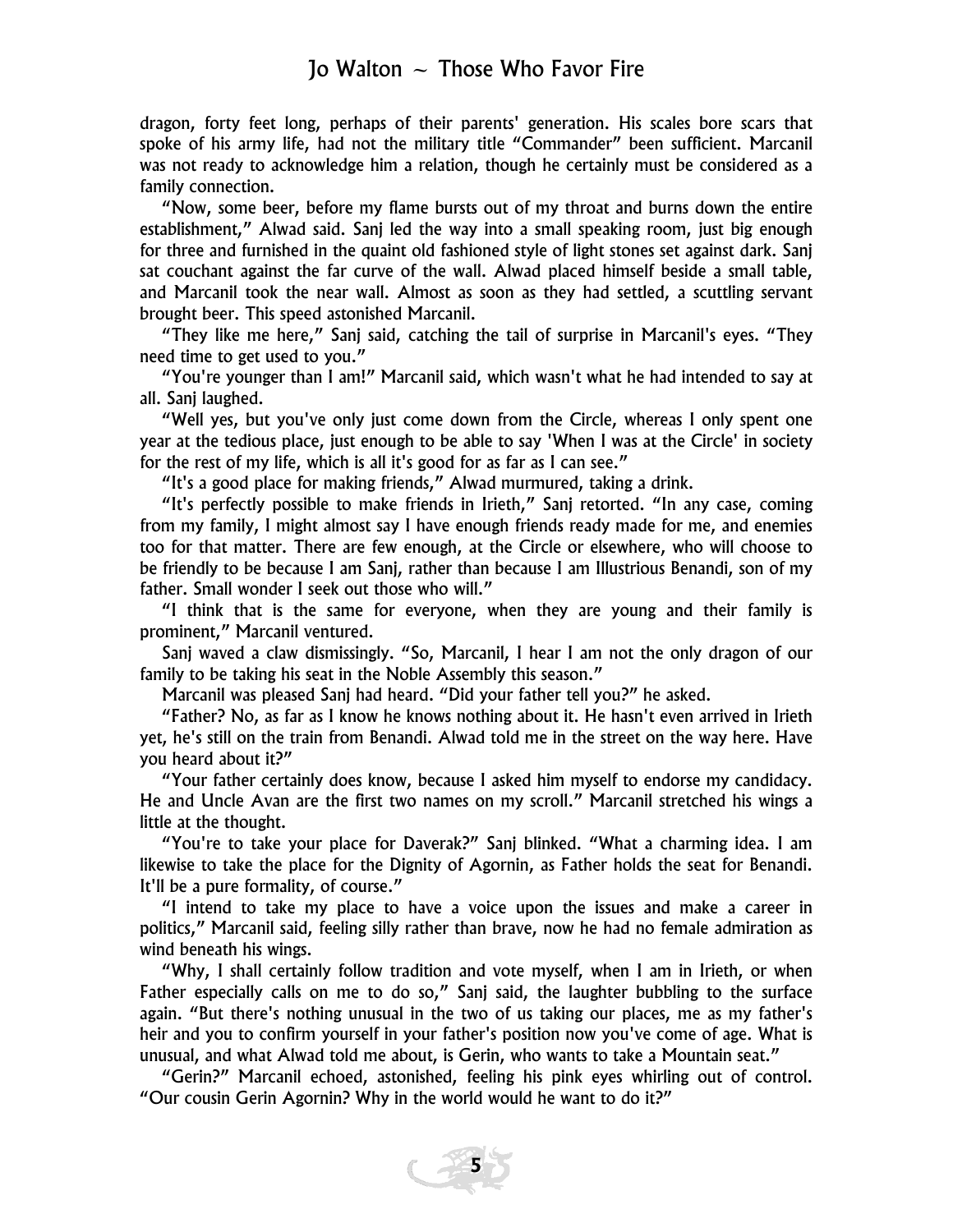dragon, forty feet long, perhaps of their parents' generation. His scales bore scars that spoke of his army life, had not the military title "Commander" been sufficient. Marcanil was not ready to acknowledge him a relation, though he certainly must be considered as a family connection.

"Now, some beer, before my flame bursts out of my throat and burns down the entire establishment," Alwad said. Sanj led the way into a small speaking room, just big enough for three and furnished in the quaint old fashioned style of light stones set against dark. Sanj sat couchant against the far curve of the wall. Alwad placed himself beside a small table, and Marcanil took the near wall. Almost as soon as they had settled, a scuttling servant brought beer. This speed astonished Marcanil.

"They like me here," Sanj said, catching the tail of surprise in Marcanil's eyes. "They need time to get used to you."

"You're younger than I am!" Marcanil said, which wasn't what he had intended to say at all. Sanj laughed.

"Well yes, but you've only just come down from the Circle, whereas I only spent one year at the tedious place, just enough to be able to say 'When I was at the Circle' in society for the rest of my life, which is all it's good for as far as I can see."

"It's a good place for making friends," Alwad murmured, taking a drink.

"It's perfectly possible to make friends in Irieth," Sanj retorted. "In any case, coming from my family, I might almost say I have enough friends ready made for me, and enemies too for that matter. There are few enough, at the Circle or elsewhere, who will choose to be friendly to be because I am Sanj, rather than because I am Illustrious Benandi, son of my father. Small wonder I seek out those who will."

"I think that is the same for everyone, when they are young and their family is prominent," Marcanil ventured.

Sanj waved a claw dismissingly. "So, Marcanil, I hear I am not the only dragon of our family to be taking his seat in the Noble Assembly this season."

Marcanil was pleased Sanj had heard. "Did your father tell you?" he asked.

"Father? No, as far as I know he knows nothing about it. He hasn't even arrived in Irieth yet, he's still on the train from Benandi. Alwad told me in the street on the way here. Have you heard about it?"

"Your father certainly does know, because I asked him myself to endorse my candidacy. He and Uncle Avan are the first two names on my scroll." Marcanil stretched his wings a little at the thought.

"You're to take your place for Daverak?" Sanj blinked. "What a charming idea. I am likewise to take the place for the Dignity of Agornin, as Father holds the seat for Benandi. It'll be a pure formality, of course."

"I intend to take my place to have a voice upon the issues and make a career in politics," Marcanil said, feeling silly rather than brave, now he had no female admiration as wind beneath his wings.

"Why, I shall certainly follow tradition and vote myself, when I am in Irieth, or when Father especially calls on me to do so," Sanj said, the laughter bubbling to the surface again. "But there's nothing unusual in the two of us taking our places, me as my father's heir and you to confirm yourself in your father's position now you've come of age. What is unusual, and what Alwad told me about, is Gerin, who wants to take a Mountain seat."

"Gerin?" Marcanil echoed, astonished, feeling his pink eyes whirling out of control. "Our cousin Gerin Agornin? Why in the world would he want to do it?"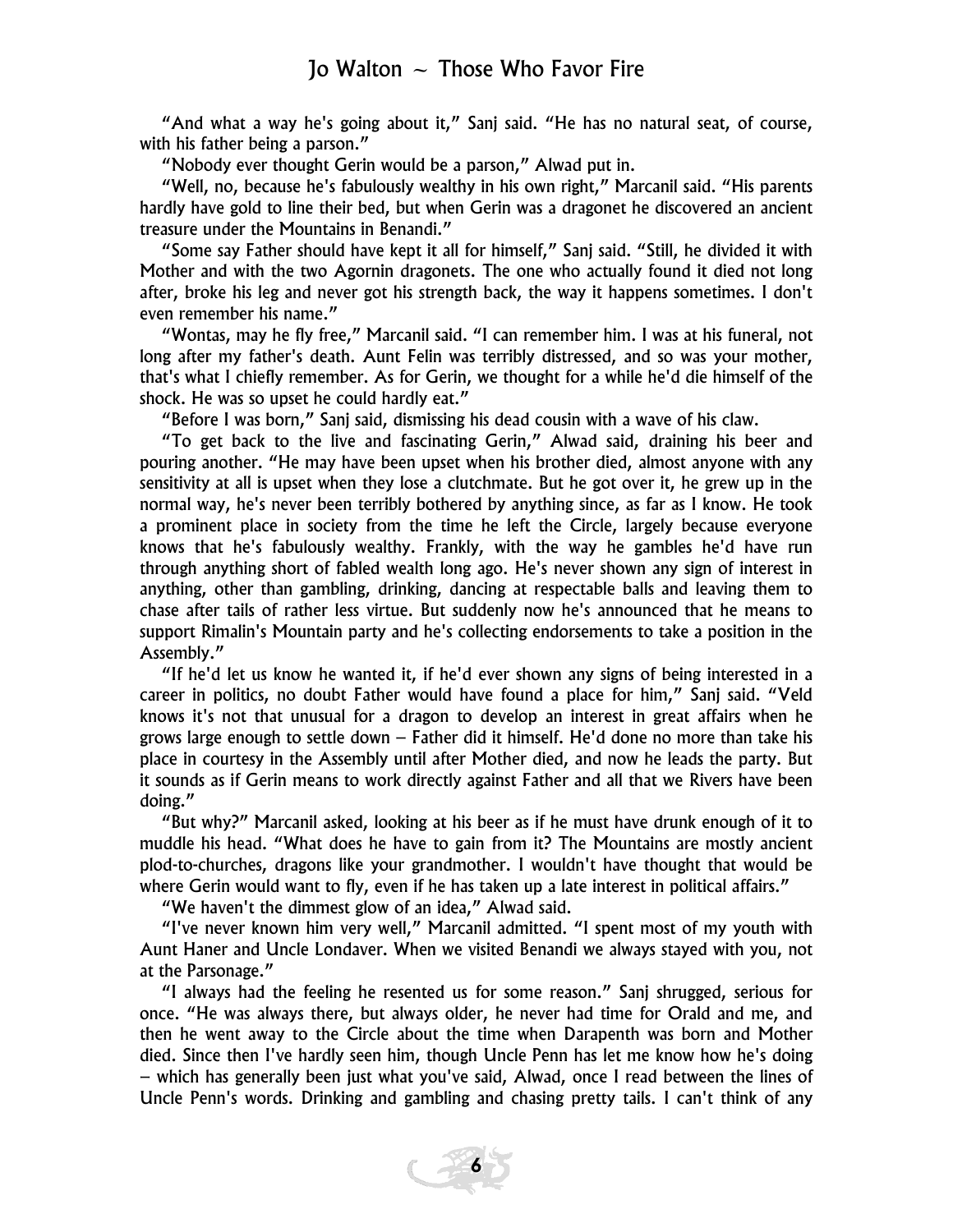"And what a way he's going about it," Sanj said. "He has no natural seat, of course, with his father being a parson."

"Nobody ever thought Gerin would be a parson," Alwad put in.

"Well, no, because he's fabulously wealthy in his own right," Marcanil said. "His parents hardly have gold to line their bed, but when Gerin was a dragonet he discovered an ancient treasure under the Mountains in Benandi."

"Some say Father should have kept it all for himself," Sanj said. "Still, he divided it with Mother and with the two Agornin dragonets. The one who actually found it died not long after, broke his leg and never got his strength back, the way it happens sometimes. I don't even remember his name."

"Wontas, may he fly free," Marcanil said. "I can remember him. I was at his funeral, not long after my father's death. Aunt Felin was terribly distressed, and so was your mother, that's what I chiefly remember. As for Gerin, we thought for a while he'd die himself of the shock. He was so upset he could hardly eat."

"Before I was born," Sanj said, dismissing his dead cousin with a wave of his claw.

"To get back to the live and fascinating Gerin," Alwad said, draining his beer and pouring another. "He may have been upset when his brother died, almost anyone with any sensitivity at all is upset when they lose a clutchmate. But he got over it, he grew up in the normal way, he's never been terribly bothered by anything since, as far as I know. He took a prominent place in society from the time he left the Circle, largely because everyone knows that he's fabulously wealthy. Frankly, with the way he gambles he'd have run through anything short of fabled wealth long ago. He's never shown any sign of interest in anything, other than gambling, drinking, dancing at respectable balls and leaving them to chase after tails of rather less virtue. But suddenly now he's announced that he means to support Rimalin's Mountain party and he's collecting endorsements to take a position in the Assembly."

"If he'd let us know he wanted it, if he'd ever shown any signs of being interested in a career in politics, no doubt Father would have found a place for him," Sanj said. "Veld knows it's not that unusual for a dragon to develop an interest in great affairs when he grows large enough to settle down – Father did it himself. He'd done no more than take his place in courtesy in the Assembly until after Mother died, and now he leads the party. But it sounds as if Gerin means to work directly against Father and all that we Rivers have been doing."

"But why?" Marcanil asked, looking at his beer as if he must have drunk enough of it to muddle his head. "What does he have to gain from it? The Mountains are mostly ancient plod-to-churches, dragons like your grandmother. I wouldn't have thought that would be where Gerin would want to fly, even if he has taken up a late interest in political affairs."

"We haven't the dimmest glow of an idea," Alwad said.

"I've never known him very well," Marcanil admitted. "I spent most of my youth with Aunt Haner and Uncle Londaver. When we visited Benandi we always stayed with you, not at the Parsonage."

"I always had the feeling he resented us for some reason." Sanj shrugged, serious for once. "He was always there, but always older, he never had time for Orald and me, and then he went away to the Circle about the time when Darapenth was born and Mother died. Since then I've hardly seen him, though Uncle Penn has let me know how he's doing – which has generally been just what you've said, Alwad, once I read between the lines of Uncle Penn's words. Drinking and gambling and chasing pretty tails. I can't think of any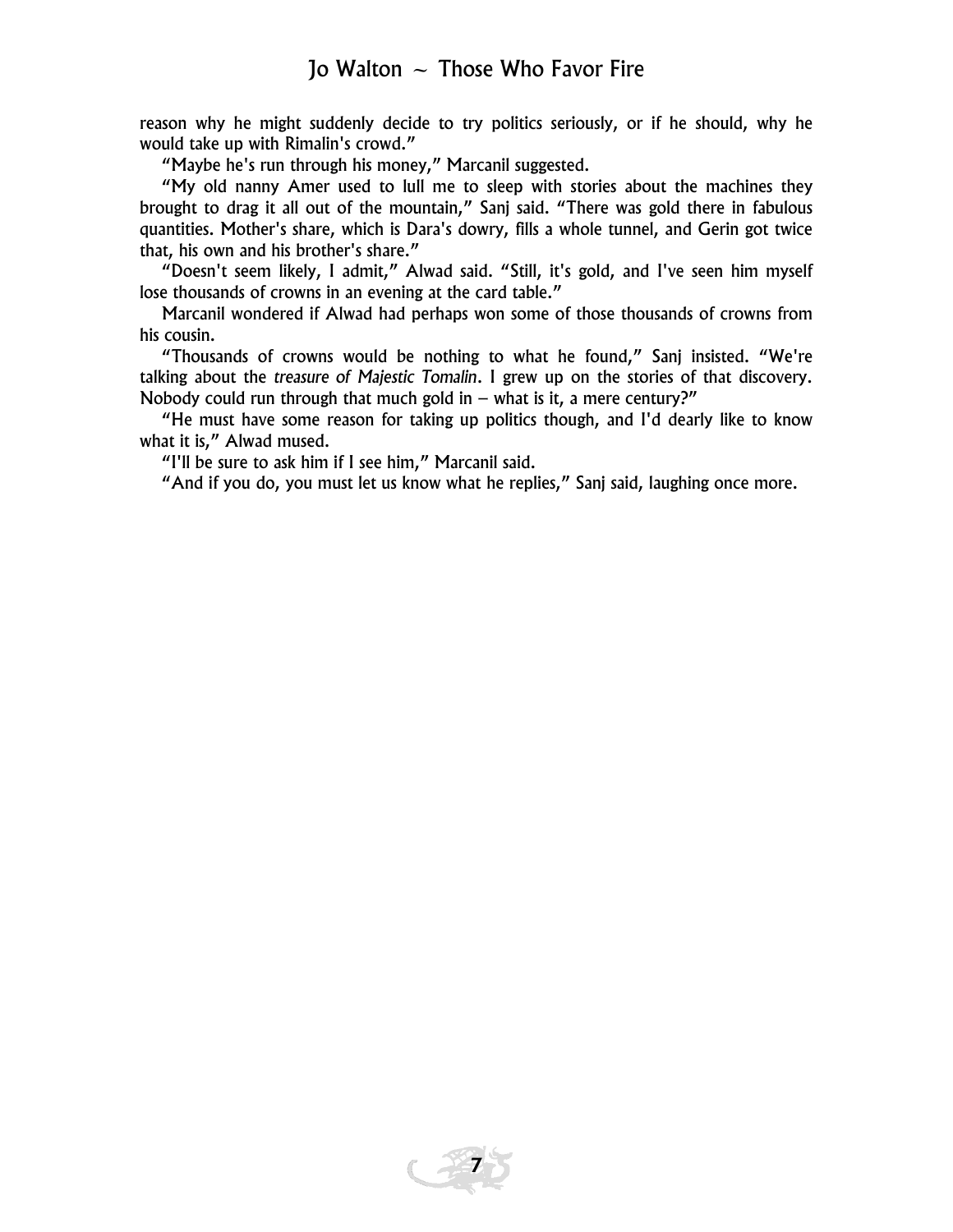reason why he might suddenly decide to try politics seriously, or if he should, why he would take up with Rimalin's crowd."

"Maybe he's run through his money," Marcanil suggested.

"My old nanny Amer used to lull me to sleep with stories about the machines they brought to drag it all out of the mountain," Sanj said. "There was gold there in fabulous quantities. Mother's share, which is Dara's dowry, fills a whole tunnel, and Gerin got twice that, his own and his brother's share."

"Doesn't seem likely, I admit," Alwad said. "Still, it's gold, and I've seen him myself lose thousands of crowns in an evening at the card table."

Marcanil wondered if Alwad had perhaps won some of those thousands of crowns from his cousin.

"Thousands of crowns would be nothing to what he found," Sanj insisted. "We're talking about the *treasure of Majestic Tomalin*. I grew up on the stories of that discovery. Nobody could run through that much gold in  $-$  what is it, a mere century?"

"He must have some reason for taking up politics though, and I'd dearly like to know what it is," Alwad mused.

"I'll be sure to ask him if I see him," Marcanil said.

"And if you do, you must let us know what he replies," Sanj said, laughing once more.

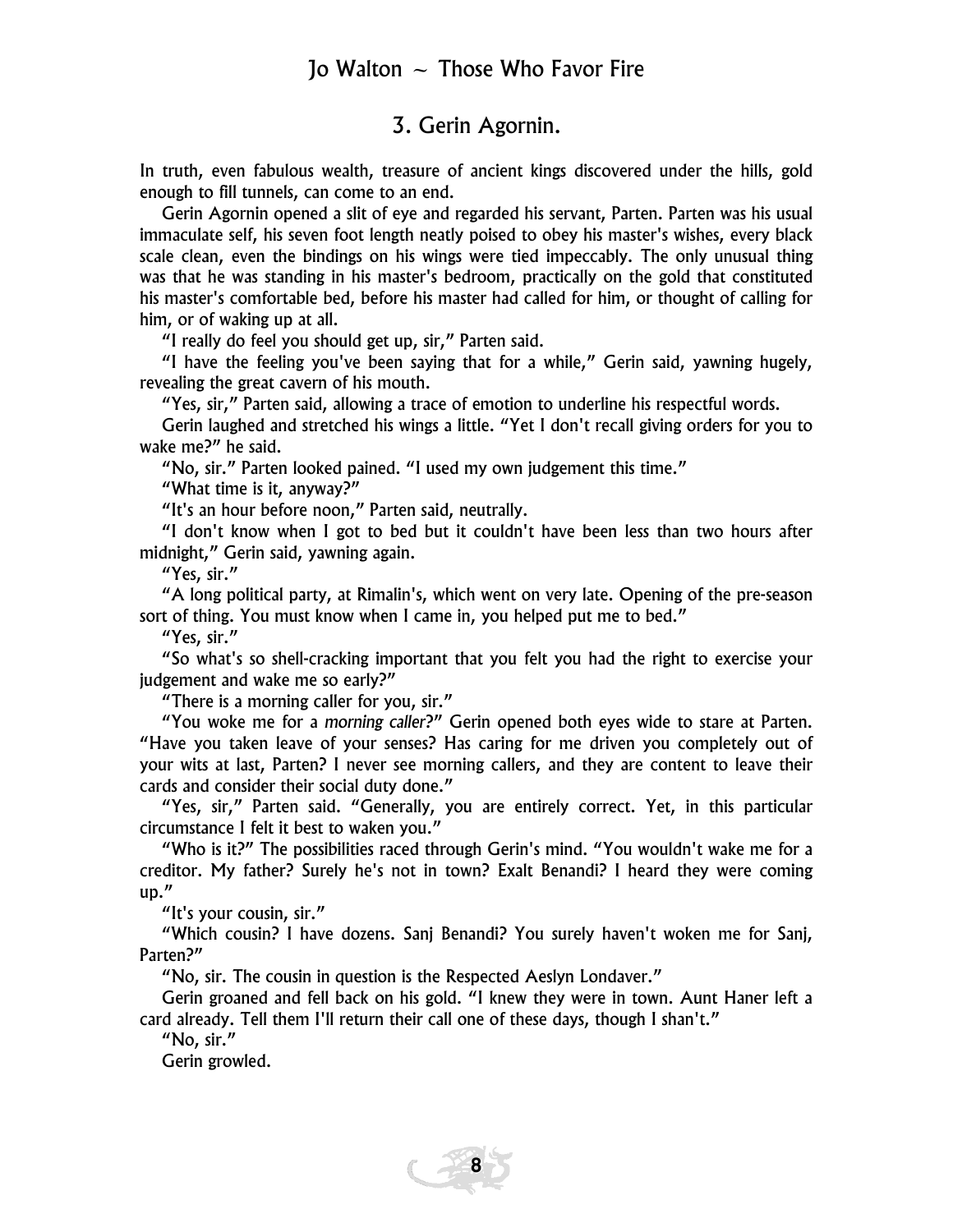#### 3. Gerin Agornin.

In truth, even fabulous wealth, treasure of ancient kings discovered under the hills, gold enough to fill tunnels, can come to an end.

Gerin Agornin opened a slit of eye and regarded his servant, Parten. Parten was his usual immaculate self, his seven foot length neatly poised to obey his master's wishes, every black scale clean, even the bindings on his wings were tied impeccably. The only unusual thing was that he was standing in his master's bedroom, practically on the gold that constituted his master's comfortable bed, before his master had called for him, or thought of calling for him, or of waking up at all.

"I really do feel you should get up, sir," Parten said.

"I have the feeling you've been saying that for a while," Gerin said, yawning hugely, revealing the great cavern of his mouth.

"Yes, sir," Parten said, allowing a trace of emotion to underline his respectful words.

Gerin laughed and stretched his wings a little. "Yet I don't recall giving orders for you to wake me?" he said.

"No, sir." Parten looked pained. "I used my own judgement this time."

"What time is it, anyway?"

"It's an hour before noon," Parten said, neutrally.

"I don't know when I got to bed but it couldn't have been less than two hours after midnight," Gerin said, yawning again.

"Yes, sir."

"A long political party, at Rimalin's, which went on very late. Opening of the pre-season sort of thing. You must know when I came in, you helped put me to bed."

"Yes, sir."

"So what's so shell-cracking important that you felt you had the right to exercise your judgement and wake me so early?"

"There is a morning caller for you, sir."

"You woke me for a *morning caller*?" Gerin opened both eyes wide to stare at Parten. "Have you taken leave of your senses? Has caring for me driven you completely out of your wits at last, Parten? I never see morning callers, and they are content to leave their cards and consider their social duty done."

"Yes, sir," Parten said. "Generally, you are entirely correct. Yet, in this particular circumstance I felt it best to waken you."

"Who is it?" The possibilities raced through Gerin's mind. "You wouldn't wake me for a creditor. My father? Surely he's not in town? Exalt Benandi? I heard they were coming up."

"It's your cousin, sir."

"Which cousin? I have dozens. Sanj Benandi? You surely haven't woken me for Sanj, Parten?"

"No, sir. The cousin in question is the Respected Aeslyn Londaver."

Gerin groaned and fell back on his gold. "I knew they were in town. Aunt Haner left a card already. Tell them I'll return their call one of these days, though I shan't."

"No, sir."

Gerin growled.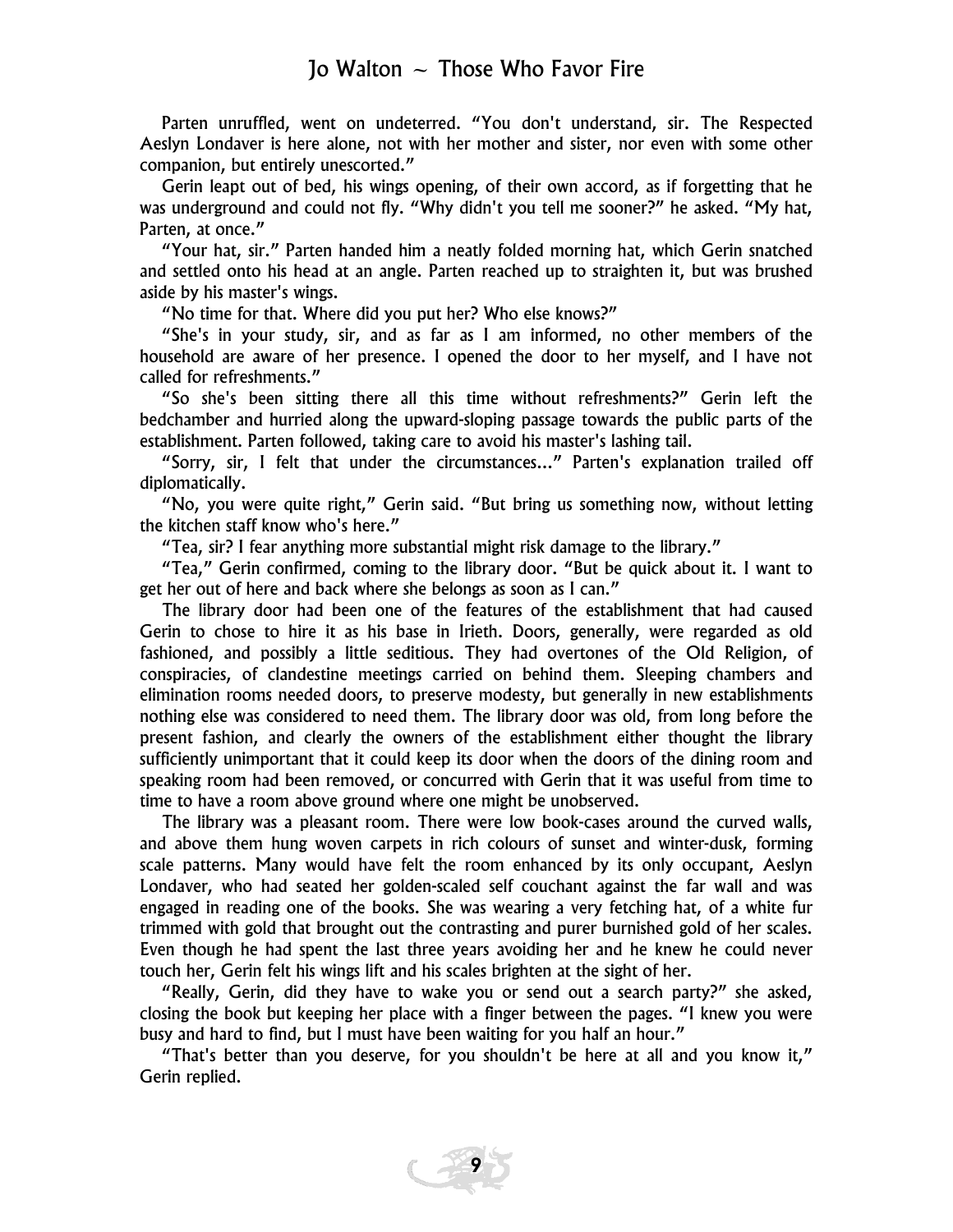Parten unruffled, went on undeterred. "You don't understand, sir. The Respected Aeslyn Londaver is here alone, not with her mother and sister, nor even with some other companion, but entirely unescorted."

Gerin leapt out of bed, his wings opening, of their own accord, as if forgetting that he was underground and could not fly. "Why didn't you tell me sooner?" he asked. "My hat, Parten, at once."

"Your hat, sir." Parten handed him a neatly folded morning hat, which Gerin snatched and settled onto his head at an angle. Parten reached up to straighten it, but was brushed aside by his master's wings.

"No time for that. Where did you put her? Who else knows?"

"She's in your study, sir, and as far as I am informed, no other members of the household are aware of her presence. I opened the door to her myself, and I have not called for refreshments."

"So she's been sitting there all this time without refreshments?" Gerin left the bedchamber and hurried along the upward-sloping passage towards the public parts of the establishment. Parten followed, taking care to avoid his master's lashing tail.

"Sorry, sir, I felt that under the circumstances..." Parten's explanation trailed off diplomatically.

"No, you were quite right," Gerin said. "But bring us something now, without letting the kitchen staff know who's here."

"Tea, sir? I fear anything more substantial might risk damage to the library."

"Tea," Gerin confirmed, coming to the library door. "But be quick about it. I want to get her out of here and back where she belongs as soon as I can."

The library door had been one of the features of the establishment that had caused Gerin to chose to hire it as his base in Irieth. Doors, generally, were regarded as old fashioned, and possibly a little seditious. They had overtones of the Old Religion, of conspiracies, of clandestine meetings carried on behind them. Sleeping chambers and elimination rooms needed doors, to preserve modesty, but generally in new establishments nothing else was considered to need them. The library door was old, from long before the present fashion, and clearly the owners of the establishment either thought the library sufficiently unimportant that it could keep its door when the doors of the dining room and speaking room had been removed, or concurred with Gerin that it was useful from time to time to have a room above ground where one might be unobserved.

The library was a pleasant room. There were low book-cases around the curved walls, and above them hung woven carpets in rich colours of sunset and winter-dusk, forming scale patterns. Many would have felt the room enhanced by its only occupant, Aeslyn Londaver, who had seated her golden-scaled self couchant against the far wall and was engaged in reading one of the books. She was wearing a very fetching hat, of a white fur trimmed with gold that brought out the contrasting and purer burnished gold of her scales. Even though he had spent the last three years avoiding her and he knew he could never touch her, Gerin felt his wings lift and his scales brighten at the sight of her.

"Really, Gerin, did they have to wake you or send out a search party?" she asked, closing the book but keeping her place with a finger between the pages. "I knew you were busy and hard to find, but I must have been waiting for you half an hour."

"That's better than you deserve, for you shouldn't be here at all and you know it," Gerin replied.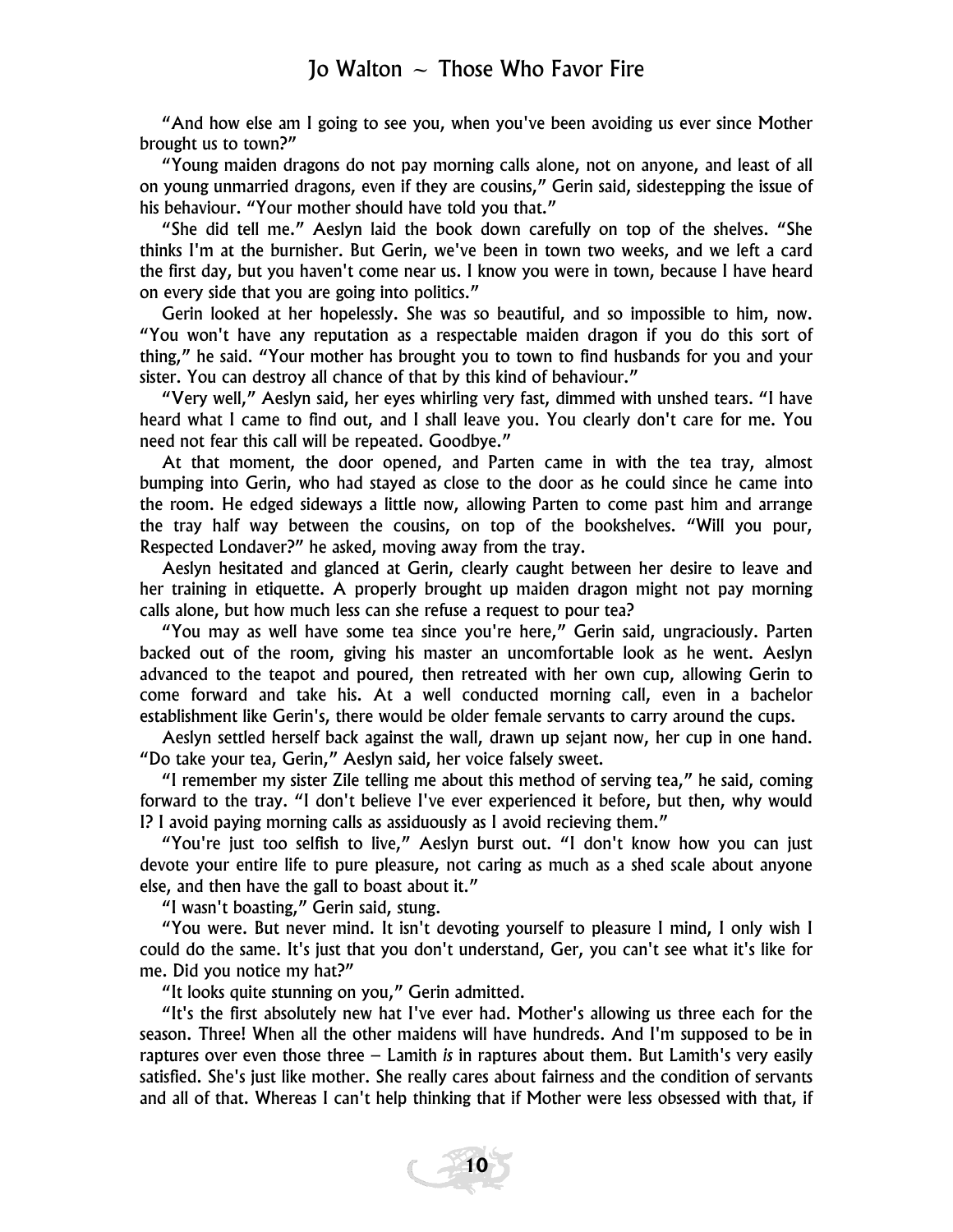"And how else am I going to see you, when you've been avoiding us ever since Mother brought us to town?"

"Young maiden dragons do not pay morning calls alone, not on anyone, and least of all on young unmarried dragons, even if they are cousins," Gerin said, sidestepping the issue of his behaviour. "Your mother should have told you that."

"She did tell me." Aeslyn laid the book down carefully on top of the shelves. "She thinks I'm at the burnisher. But Gerin, we've been in town two weeks, and we left a card the first day, but you haven't come near us. I know you were in town, because I have heard on every side that you are going into politics."

Gerin looked at her hopelessly. She was so beautiful, and so impossible to him, now. "You won't have any reputation as a respectable maiden dragon if you do this sort of thing," he said. "Your mother has brought you to town to find husbands for you and your sister. You can destroy all chance of that by this kind of behaviour."

"Very well," Aeslyn said, her eyes whirling very fast, dimmed with unshed tears. "I have heard what I came to find out, and I shall leave you. You clearly don't care for me. You need not fear this call will be repeated. Goodbye."

At that moment, the door opened, and Parten came in with the tea tray, almost bumping into Gerin, who had stayed as close to the door as he could since he came into the room. He edged sideways a little now, allowing Parten to come past him and arrange the tray half way between the cousins, on top of the bookshelves. "Will you pour, Respected Londaver?" he asked, moving away from the tray.

Aeslyn hesitated and glanced at Gerin, clearly caught between her desire to leave and her training in etiquette. A properly brought up maiden dragon might not pay morning calls alone, but how much less can she refuse a request to pour tea?

"You may as well have some tea since you're here," Gerin said, ungraciously. Parten backed out of the room, giving his master an uncomfortable look as he went. Aeslyn advanced to the teapot and poured, then retreated with her own cup, allowing Gerin to come forward and take his. At a well conducted morning call, even in a bachelor establishment like Gerin's, there would be older female servants to carry around the cups.

Aeslyn settled herself back against the wall, drawn up sejant now, her cup in one hand. "Do take your tea, Gerin," Aeslyn said, her voice falsely sweet.

"I remember my sister Zile telling me about this method of serving tea," he said, coming forward to the tray. "I don't believe I've ever experienced it before, but then, why would I? I avoid paying morning calls as assiduously as I avoid recieving them."

"You're just too selfish to live," Aeslyn burst out. "I don't know how you can just devote your entire life to pure pleasure, not caring as much as a shed scale about anyone else, and then have the gall to boast about it."

"I wasn't boasting," Gerin said, stung.

"You were. But never mind. It isn't devoting yourself to pleasure I mind, I only wish I could do the same. It's just that you don't understand, Ger, you can't see what it's like for me. Did you notice my hat?"

"It looks quite stunning on you," Gerin admitted.

"It's the first absolutely new hat I've ever had. Mother's allowing us three each for the season. Three! When all the other maidens will have hundreds. And I'm supposed to be in raptures over even those three – Lamith *is* in raptures about them. But Lamith's very easily satisfied. She's just like mother. She really cares about fairness and the condition of servants and all of that. Whereas I can't help thinking that if Mother were less obsessed with that, if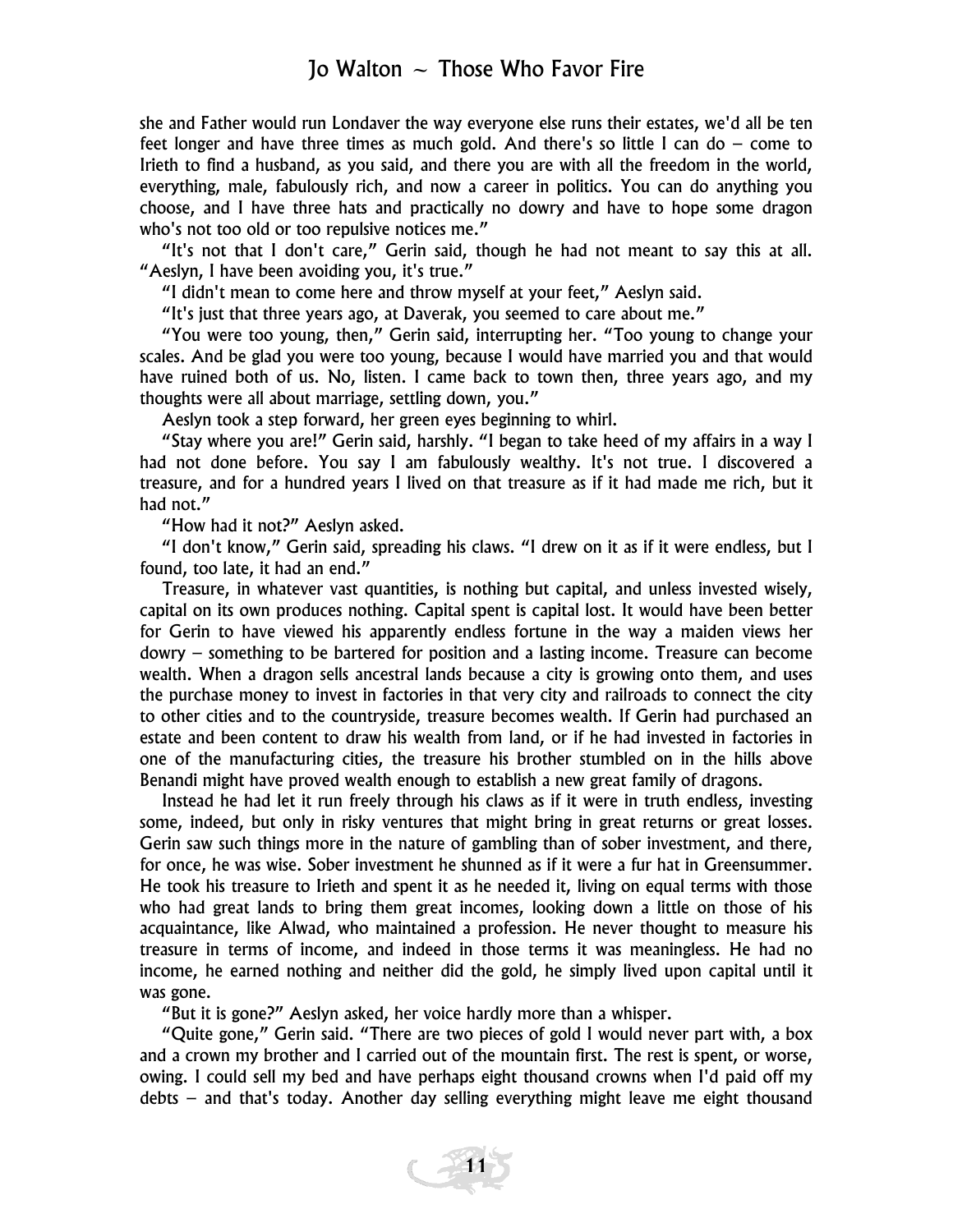she and Father would run Londaver the way everyone else runs their estates, we'd all be ten feet longer and have three times as much gold. And there's so little I can do – come to Irieth to find a husband, as you said, and there you are with all the freedom in the world, everything, male, fabulously rich, and now a career in politics. You can do anything you choose, and I have three hats and practically no dowry and have to hope some dragon who's not too old or too repulsive notices me."

"It's not that I don't care," Gerin said, though he had not meant to say this at all. "Aeslyn, I have been avoiding you, it's true."

"I didn't mean to come here and throw myself at your feet," Aeslyn said.

"It's just that three years ago, at Daverak, you seemed to care about me."

"You were too young, then," Gerin said, interrupting her. "Too young to change your scales. And be glad you were too young, because I would have married you and that would have ruined both of us. No, listen. I came back to town then, three years ago, and my thoughts were all about marriage, settling down, you."

Aeslyn took a step forward, her green eyes beginning to whirl.

"Stay where you are!" Gerin said, harshly. "I began to take heed of my affairs in a way I had not done before. You say I am fabulously wealthy. It's not true. I discovered a treasure, and for a hundred years I lived on that treasure as if it had made me rich, but it had not."

"How had it not?" Aeslyn asked.

"I don't know," Gerin said, spreading his claws. "I drew on it as if it were endless, but I found, too late, it had an end."

Treasure, in whatever vast quantities, is nothing but capital, and unless invested wisely, capital on its own produces nothing. Capital spent is capital lost. It would have been better for Gerin to have viewed his apparently endless fortune in the way a maiden views her dowry – something to be bartered for position and a lasting income. Treasure can become wealth. When a dragon sells ancestral lands because a city is growing onto them, and uses the purchase money to invest in factories in that very city and railroads to connect the city to other cities and to the countryside, treasure becomes wealth. If Gerin had purchased an estate and been content to draw his wealth from land, or if he had invested in factories in one of the manufacturing cities, the treasure his brother stumbled on in the hills above Benandi might have proved wealth enough to establish a new great family of dragons.

Instead he had let it run freely through his claws as if it were in truth endless, investing some, indeed, but only in risky ventures that might bring in great returns or great losses. Gerin saw such things more in the nature of gambling than of sober investment, and there, for once, he was wise. Sober investment he shunned as if it were a fur hat in Greensummer. He took his treasure to Irieth and spent it as he needed it, living on equal terms with those who had great lands to bring them great incomes, looking down a little on those of his acquaintance, like Alwad, who maintained a profession. He never thought to measure his treasure in terms of income, and indeed in those terms it was meaningless. He had no income, he earned nothing and neither did the gold, he simply lived upon capital until it was gone.

"But it is gone?" Aeslyn asked, her voice hardly more than a whisper.

"Quite gone," Gerin said. "There are two pieces of gold I would never part with, a box and a crown my brother and I carried out of the mountain first. The rest is spent, or worse, owing. I could sell my bed and have perhaps eight thousand crowns when I'd paid off my debts – and that's today. Another day selling everything might leave me eight thousand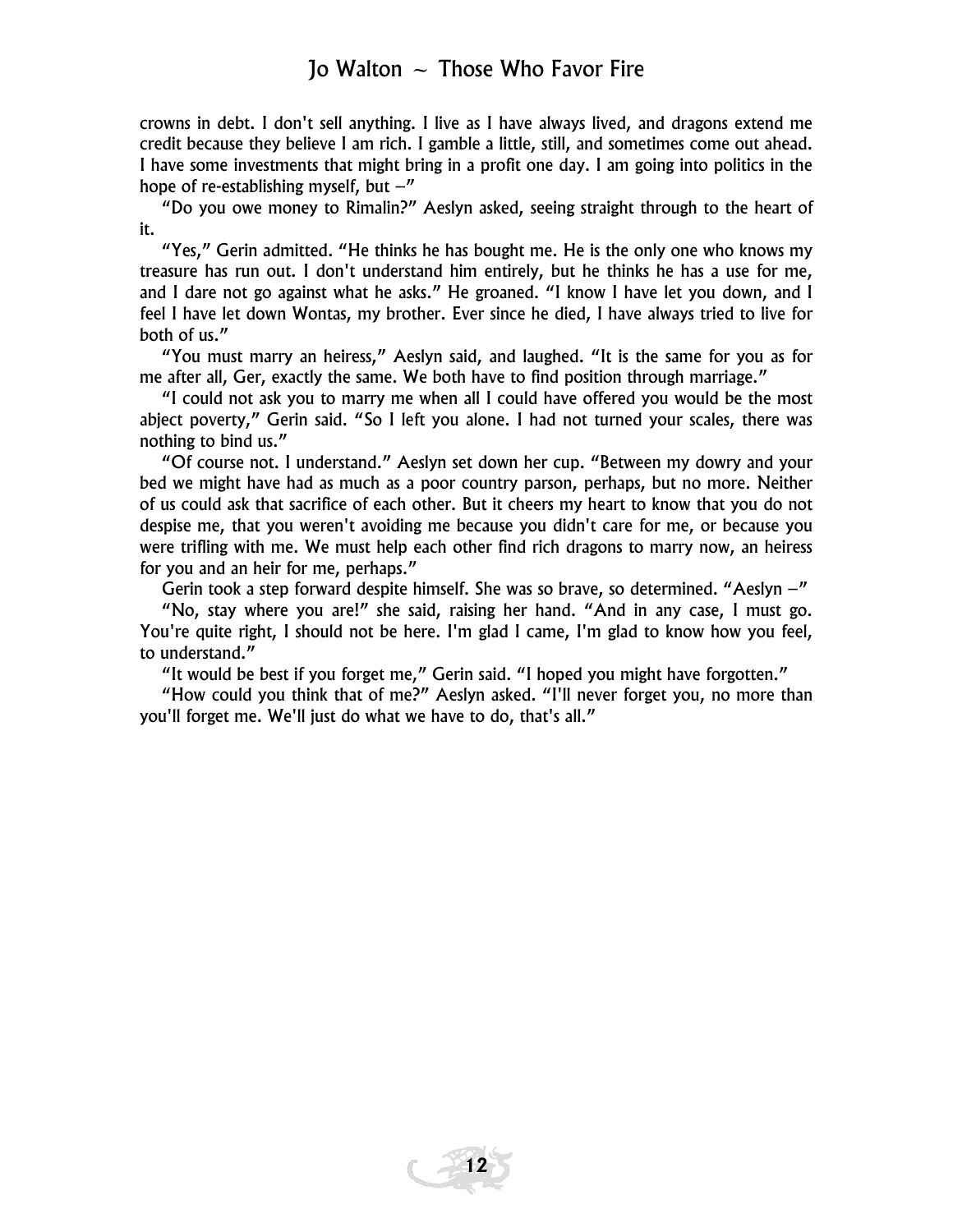crowns in debt. I don't sell anything. I live as I have always lived, and dragons extend me credit because they believe I am rich. I gamble a little, still, and sometimes come out ahead. I have some investments that might bring in a profit one day. I am going into politics in the hope of re-establishing myself, but  $-$ "

"Do you owe money to Rimalin?" Aeslyn asked, seeing straight through to the heart of it.

"Yes," Gerin admitted. "He thinks he has bought me. He is the only one who knows my treasure has run out. I don't understand him entirely, but he thinks he has a use for me, and I dare not go against what he asks." He groaned. "I know I have let you down, and I feel I have let down Wontas, my brother. Ever since he died, I have always tried to live for both of us."

"You must marry an heiress," Aeslyn said, and laughed. "It is the same for you as for me after all, Ger, exactly the same. We both have to find position through marriage."

"I could not ask you to marry me when all I could have offered you would be the most abject poverty," Gerin said. "So I left you alone. I had not turned your scales, there was nothing to bind us."

"Of course not. I understand." Aeslyn set down her cup. "Between my dowry and your bed we might have had as much as a poor country parson, perhaps, but no more. Neither of us could ask that sacrifice of each other. But it cheers my heart to know that you do not despise me, that you weren't avoiding me because you didn't care for me, or because you were trifling with me. We must help each other find rich dragons to marry now, an heiress for you and an heir for me, perhaps."

Gerin took a step forward despite himself. She was so brave, so determined. "Aeslyn  $-$ "

"No, stay where you are!" she said, raising her hand. "And in any case, I must go. You're quite right, I should not be here. I'm glad I came, I'm glad to know how you feel, to understand."

"It would be best if you forget me," Gerin said. "I hoped you might have forgotten."

"How could you think that of me?" Aeslyn asked. "I'll never forget you, no more than you'll forget me. We'll just do what we have to do, that's all."

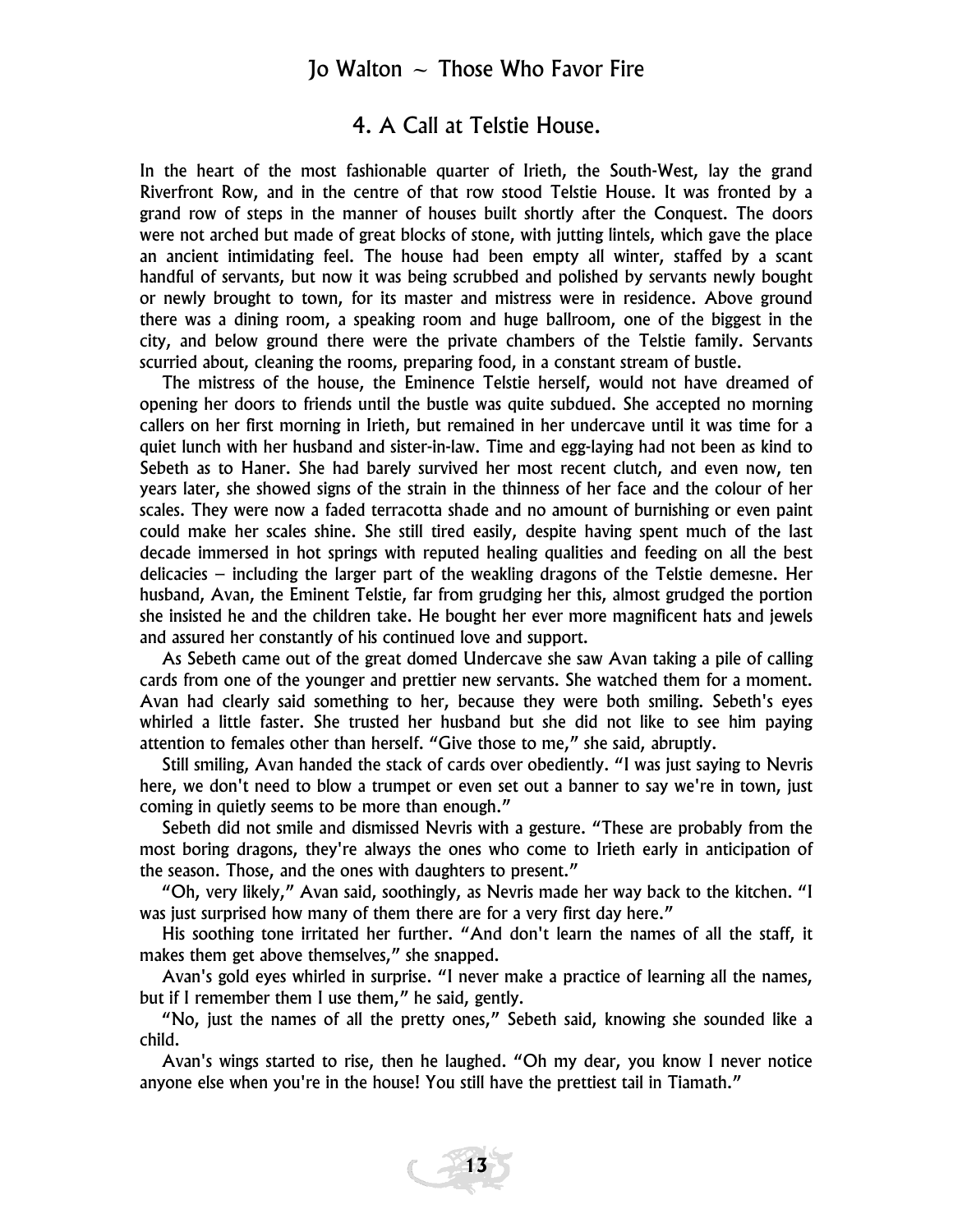#### 4. A Call at Telstie House.

In the heart of the most fashionable quarter of Irieth, the South-West, lay the grand Riverfront Row, and in the centre of that row stood Telstie House. It was fronted by a grand row of steps in the manner of houses built shortly after the Conquest. The doors were not arched but made of great blocks of stone, with jutting lintels, which gave the place an ancient intimidating feel. The house had been empty all winter, staffed by a scant handful of servants, but now it was being scrubbed and polished by servants newly bought or newly brought to town, for its master and mistress were in residence. Above ground there was a dining room, a speaking room and huge ballroom, one of the biggest in the city, and below ground there were the private chambers of the Telstie family. Servants scurried about, cleaning the rooms, preparing food, in a constant stream of bustle.

The mistress of the house, the Eminence Telstie herself, would not have dreamed of opening her doors to friends until the bustle was quite subdued. She accepted no morning callers on her first morning in Irieth, but remained in her undercave until it was time for a quiet lunch with her husband and sister-in-law. Time and egg-laying had not been as kind to Sebeth as to Haner. She had barely survived her most recent clutch, and even now, ten years later, she showed signs of the strain in the thinness of her face and the colour of her scales. They were now a faded terracotta shade and no amount of burnishing or even paint could make her scales shine. She still tired easily, despite having spent much of the last decade immersed in hot springs with reputed healing qualities and feeding on all the best delicacies – including the larger part of the weakling dragons of the Telstie demesne. Her husband, Avan, the Eminent Telstie, far from grudging her this, almost grudged the portion she insisted he and the children take. He bought her ever more magnificent hats and jewels and assured her constantly of his continued love and support.

As Sebeth came out of the great domed Undercave she saw Avan taking a pile of calling cards from one of the younger and prettier new servants. She watched them for a moment. Avan had clearly said something to her, because they were both smiling. Sebeth's eyes whirled a little faster. She trusted her husband but she did not like to see him paying attention to females other than herself. "Give those to me," she said, abruptly.

Still smiling, Avan handed the stack of cards over obediently. "I was just saying to Nevris here, we don't need to blow a trumpet or even set out a banner to say we're in town, just coming in quietly seems to be more than enough."

Sebeth did not smile and dismissed Nevris with a gesture. "These are probably from the most boring dragons, they're always the ones who come to Irieth early in anticipation of the season. Those, and the ones with daughters to present."

"Oh, very likely," Avan said, soothingly, as Nevris made her way back to the kitchen. "I was just surprised how many of them there are for a very first day here."

His soothing tone irritated her further. "And don't learn the names of all the staff, it makes them get above themselves," she snapped.

Avan's gold eyes whirled in surprise. "I never make a practice of learning all the names, but if I remember them I use them," he said, gently.

"No, just the names of all the pretty ones," Sebeth said, knowing she sounded like a child.

Avan's wings started to rise, then he laughed. "Oh my dear, you know I never notice anyone else when you're in the house! You still have the prettiest tail in Tiamath."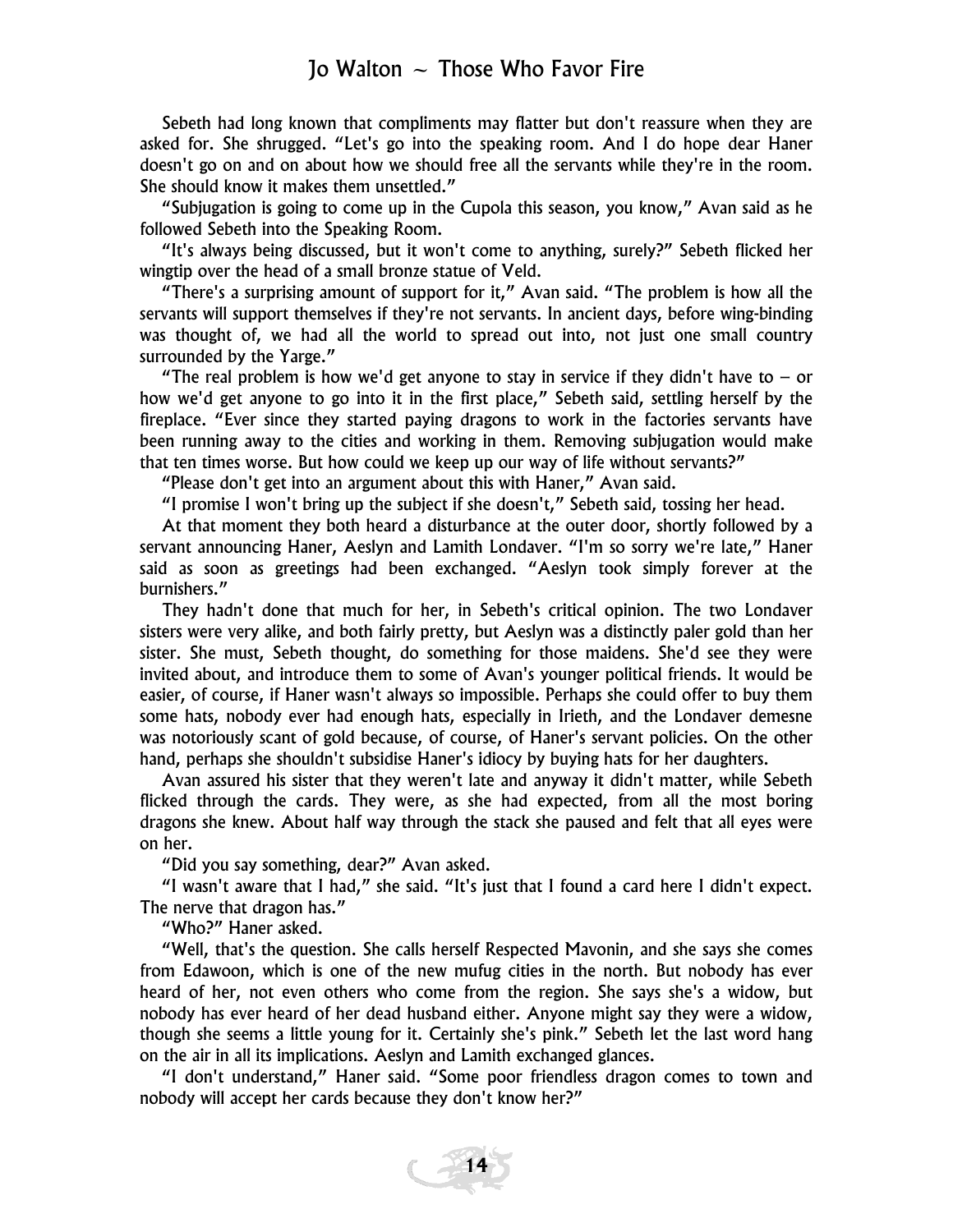Sebeth had long known that compliments may flatter but don't reassure when they are asked for. She shrugged. "Let's go into the speaking room. And I do hope dear Haner doesn't go on and on about how we should free all the servants while they're in the room. She should know it makes them unsettled."

"Subjugation is going to come up in the Cupola this season, you know," Avan said as he followed Sebeth into the Speaking Room.

"It's always being discussed, but it won't come to anything, surely?" Sebeth flicked her wingtip over the head of a small bronze statue of Veld.

"There's a surprising amount of support for it," Avan said. "The problem is how all the servants will support themselves if they're not servants. In ancient days, before wing-binding was thought of, we had all the world to spread out into, not just one small country surrounded by the Yarge."

"The real problem is how we'd get anyone to stay in service if they didn't have to  $-$  or how we'd get anyone to go into it in the first place," Sebeth said, settling herself by the fireplace. "Ever since they started paying dragons to work in the factories servants have been running away to the cities and working in them. Removing subjugation would make that ten times worse. But how could we keep up our way of life without servants?"

"Please don't get into an argument about this with Haner," Avan said.

"I promise I won't bring up the subject if she doesn't," Sebeth said, tossing her head.

At that moment they both heard a disturbance at the outer door, shortly followed by a servant announcing Haner, Aeslyn and Lamith Londaver. "I'm so sorry we're late," Haner said as soon as greetings had been exchanged. "Aeslyn took simply forever at the burnishers."

They hadn't done that much for her, in Sebeth's critical opinion. The two Londaver sisters were very alike, and both fairly pretty, but Aeslyn was a distinctly paler gold than her sister. She must, Sebeth thought, do something for those maidens. She'd see they were invited about, and introduce them to some of Avan's younger political friends. It would be easier, of course, if Haner wasn't always so impossible. Perhaps she could offer to buy them some hats, nobody ever had enough hats, especially in Irieth, and the Londaver demesne was notoriously scant of gold because, of course, of Haner's servant policies. On the other hand, perhaps she shouldn't subsidise Haner's idiocy by buying hats for her daughters.

Avan assured his sister that they weren't late and anyway it didn't matter, while Sebeth flicked through the cards. They were, as she had expected, from all the most boring dragons she knew. About half way through the stack she paused and felt that all eyes were on her.

"Did you say something, dear?" Avan asked.

"I wasn't aware that I had," she said. "It's just that I found a card here I didn't expect. The nerve that dragon has."

"Who?" Haner asked.

"Well, that's the question. She calls herself Respected Mavonin, and she says she comes from Edawoon, which is one of the new mufug cities in the north. But nobody has ever heard of her, not even others who come from the region. She says she's a widow, but nobody has ever heard of her dead husband either. Anyone might say they were a widow, though she seems a little young for it. Certainly she's pink." Sebeth let the last word hang on the air in all its implications. Aeslyn and Lamith exchanged glances.

"I don't understand," Haner said. "Some poor friendless dragon comes to town and nobody will accept her cards because they don't know her?"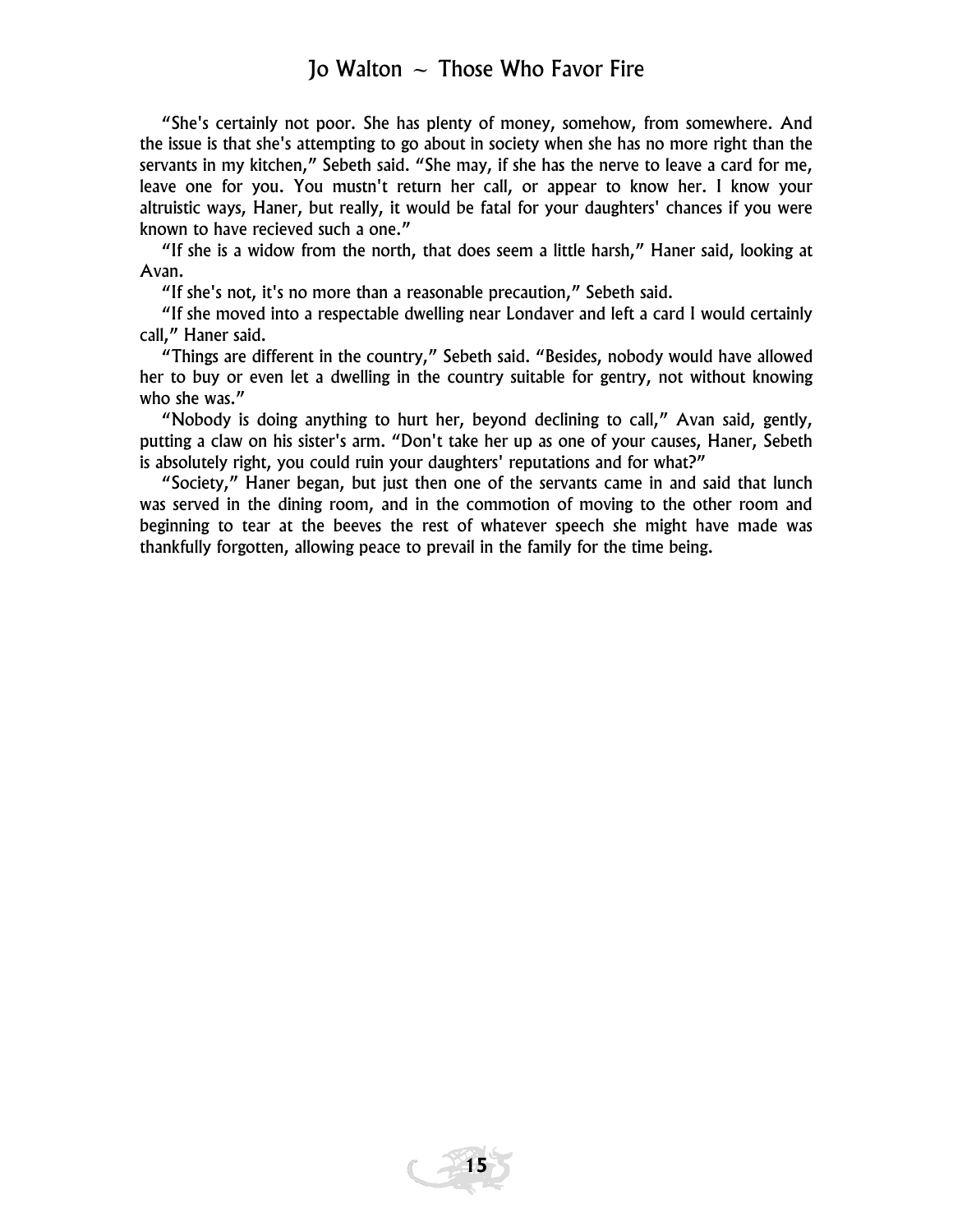"She's certainly not poor. She has plenty of money, somehow, from somewhere. And the issue is that she's attempting to go about in society when she has no more right than the servants in my kitchen," Sebeth said. "She may, if she has the nerve to leave a card for me, leave one for you. You mustn't return her call, or appear to know her. I know your altruistic ways, Haner, but really, it would be fatal for your daughters' chances if you were known to have recieved such a one."

"If she is a widow from the north, that does seem a little harsh," Haner said, looking at Avan.

"If she's not, it's no more than a reasonable precaution," Sebeth said.

"If she moved into a respectable dwelling near Londaver and left a card I would certainly call," Haner said.

"Things are different in the country," Sebeth said. "Besides, nobody would have allowed her to buy or even let a dwelling in the country suitable for gentry, not without knowing who she was."

"Nobody is doing anything to hurt her, beyond declining to call," Avan said, gently, putting a claw on his sister's arm. "Don't take her up as one of your causes, Haner, Sebeth is absolutely right, you could ruin your daughters' reputations and for what?"

"Society," Haner began, but just then one of the servants came in and said that lunch was served in the dining room, and in the commotion of moving to the other room and beginning to tear at the beeves the rest of whatever speech she might have made was thankfully forgotten, allowing peace to prevail in the family for the time being.

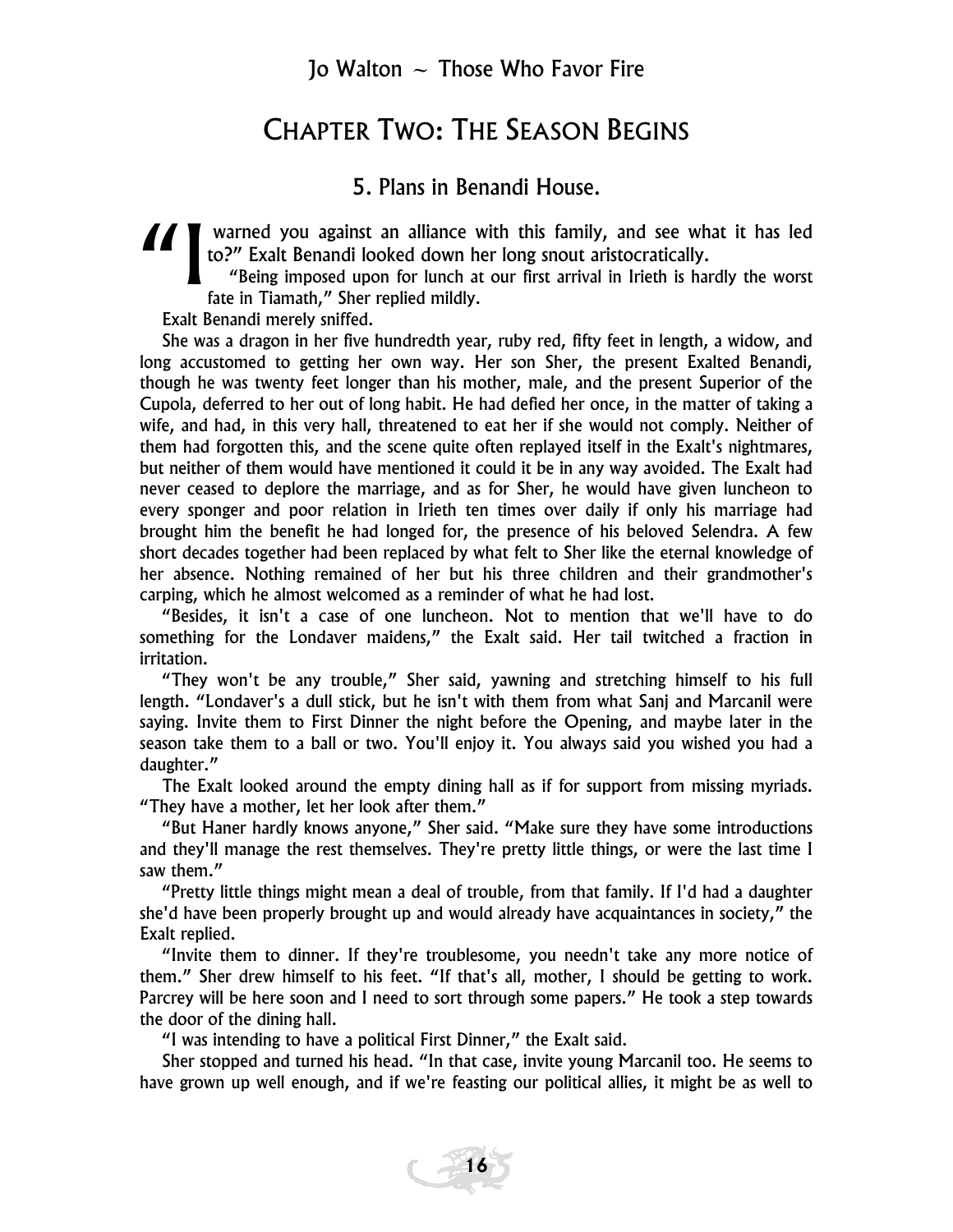#### CHAPTER TWO: THE SEASON BEGINS

#### 5. Plans in Benandi House.

I warned you against an alliance with this family, and see what it has led<br>
to?" Exalt Benandi looked down her long snout aristocratically.<br>
"Being imposed upon for lunch at our first arrival in Irieth is hardly the worst<br> to?" Exalt Benandi looked down her long snout aristocratically.

"Being imposed upon for lunch at our first arrival in Irieth is hardly the worst fate in Tiamath," Sher replied mildly.

Exalt Benandi merely sniffed.

She was a dragon in her five hundredth year, ruby red, fifty feet in length, a widow, and long accustomed to getting her own way. Her son Sher, the present Exalted Benandi, though he was twenty feet longer than his mother, male, and the present Superior of the Cupola, deferred to her out of long habit. He had defied her once, in the matter of taking a wife, and had, in this very hall, threatened to eat her if she would not comply. Neither of them had forgotten this, and the scene quite often replayed itself in the Exalt's nightmares, but neither of them would have mentioned it could it be in any way avoided. The Exalt had never ceased to deplore the marriage, and as for Sher, he would have given luncheon to every sponger and poor relation in Irieth ten times over daily if only his marriage had brought him the benefit he had longed for, the presence of his beloved Selendra. A few short decades together had been replaced by what felt to Sher like the eternal knowledge of her absence. Nothing remained of her but his three children and their grandmother's carping, which he almost welcomed as a reminder of what he had lost.

"Besides, it isn't a case of one luncheon. Not to mention that we'll have to do something for the Londaver maidens," the Exalt said. Her tail twitched a fraction in irritation.

"They won't be any trouble," Sher said, yawning and stretching himself to his full length. "Londaver's a dull stick, but he isn't with them from what Sanj and Marcanil were saying. Invite them to First Dinner the night before the Opening, and maybe later in the season take them to a ball or two. You'll enjoy it. You always said you wished you had a daughter."

The Exalt looked around the empty dining hall as if for support from missing myriads. "They have a mother, let her look after them."

"But Haner hardly knows anyone," Sher said. "Make sure they have some introductions and they'll manage the rest themselves. They're pretty little things, or were the last time I saw them."

"Pretty little things might mean a deal of trouble, from that family. If I'd had a daughter she'd have been properly brought up and would already have acquaintances in society," the Exalt replied.

"Invite them to dinner. If they're troublesome, you needn't take any more notice of them." Sher drew himself to his feet. "If that's all, mother, I should be getting to work. Parcrey will be here soon and I need to sort through some papers." He took a step towards the door of the dining hall.

"I was intending to have a political First Dinner," the Exalt said.

Sher stopped and turned his head. "In that case, invite young Marcanil too. He seems to have grown up well enough, and if we're feasting our political allies, it might be as well to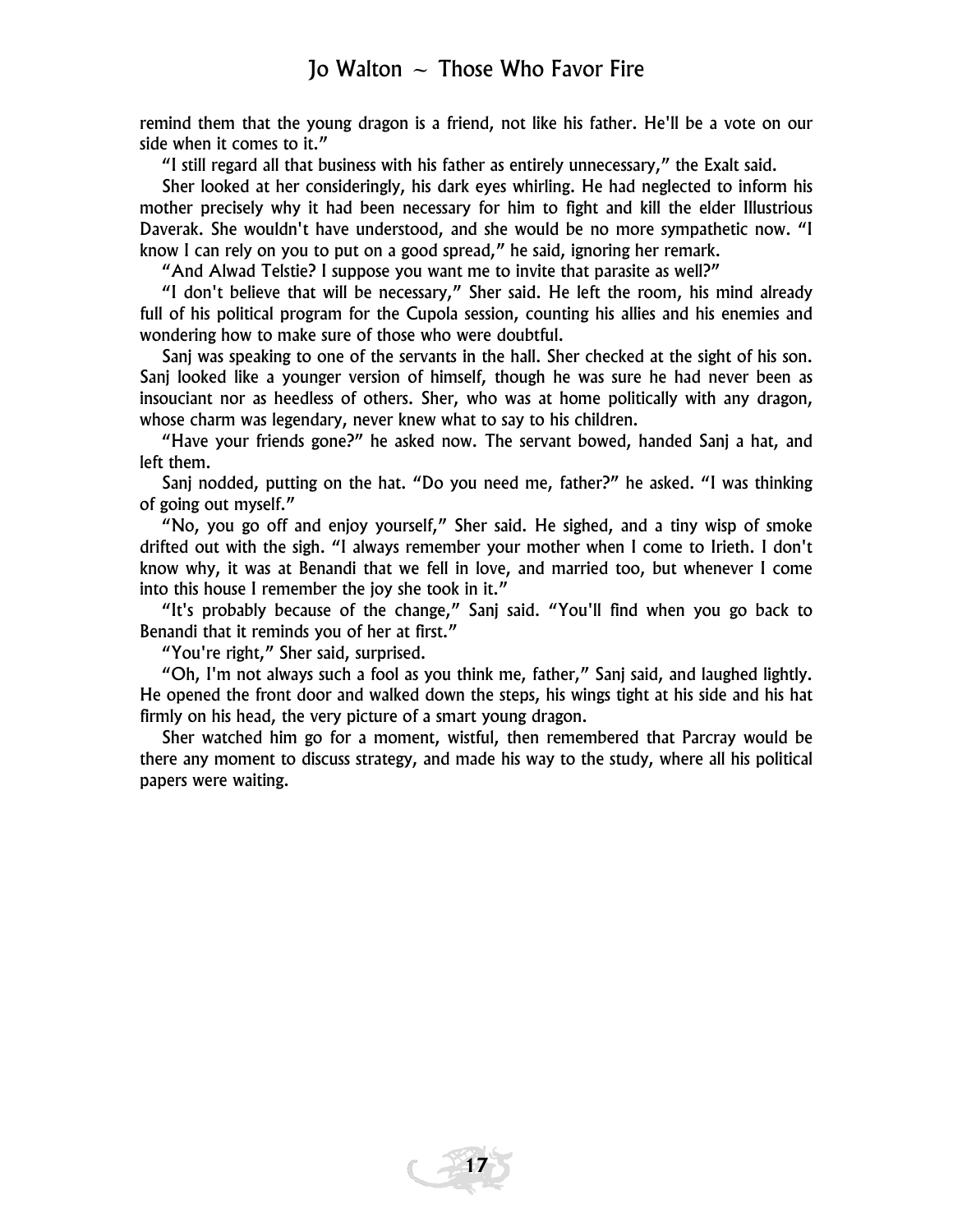remind them that the young dragon is a friend, not like his father. He'll be a vote on our side when it comes to it."

"I still regard all that business with his father as entirely unnecessary," the Exalt said.

Sher looked at her consideringly, his dark eyes whirling. He had neglected to inform his mother precisely why it had been necessary for him to fight and kill the elder Illustrious Daverak. She wouldn't have understood, and she would be no more sympathetic now. "I know I can rely on you to put on a good spread," he said, ignoring her remark.

"And Alwad Telstie? I suppose you want me to invite that parasite as well?"

"I don't believe that will be necessary," Sher said. He left the room, his mind already full of his political program for the Cupola session, counting his allies and his enemies and wondering how to make sure of those who were doubtful.

Sanj was speaking to one of the servants in the hall. Sher checked at the sight of his son. Sanj looked like a younger version of himself, though he was sure he had never been as insouciant nor as heedless of others. Sher, who was at home politically with any dragon, whose charm was legendary, never knew what to say to his children.

"Have your friends gone?" he asked now. The servant bowed, handed Sanj a hat, and left them.

Sanj nodded, putting on the hat. "Do you need me, father?" he asked. "I was thinking of going out myself."

"No, you go off and enjoy yourself," Sher said. He sighed, and a tiny wisp of smoke drifted out with the sigh. "I always remember your mother when I come to Irieth. I don't know why, it was at Benandi that we fell in love, and married too, but whenever I come into this house I remember the joy she took in it."

"It's probably because of the change," Sanj said. "You'll find when you go back to Benandi that it reminds you of her at first."

"You're right," Sher said, surprised.

"Oh, I'm not always such a fool as you think me, father," Sanj said, and laughed lightly. He opened the front door and walked down the steps, his wings tight at his side and his hat firmly on his head, the very picture of a smart young dragon.

Sher watched him go for a moment, wistful, then remembered that Parcray would be there any moment to discuss strategy, and made his way to the study, where all his political papers were waiting.

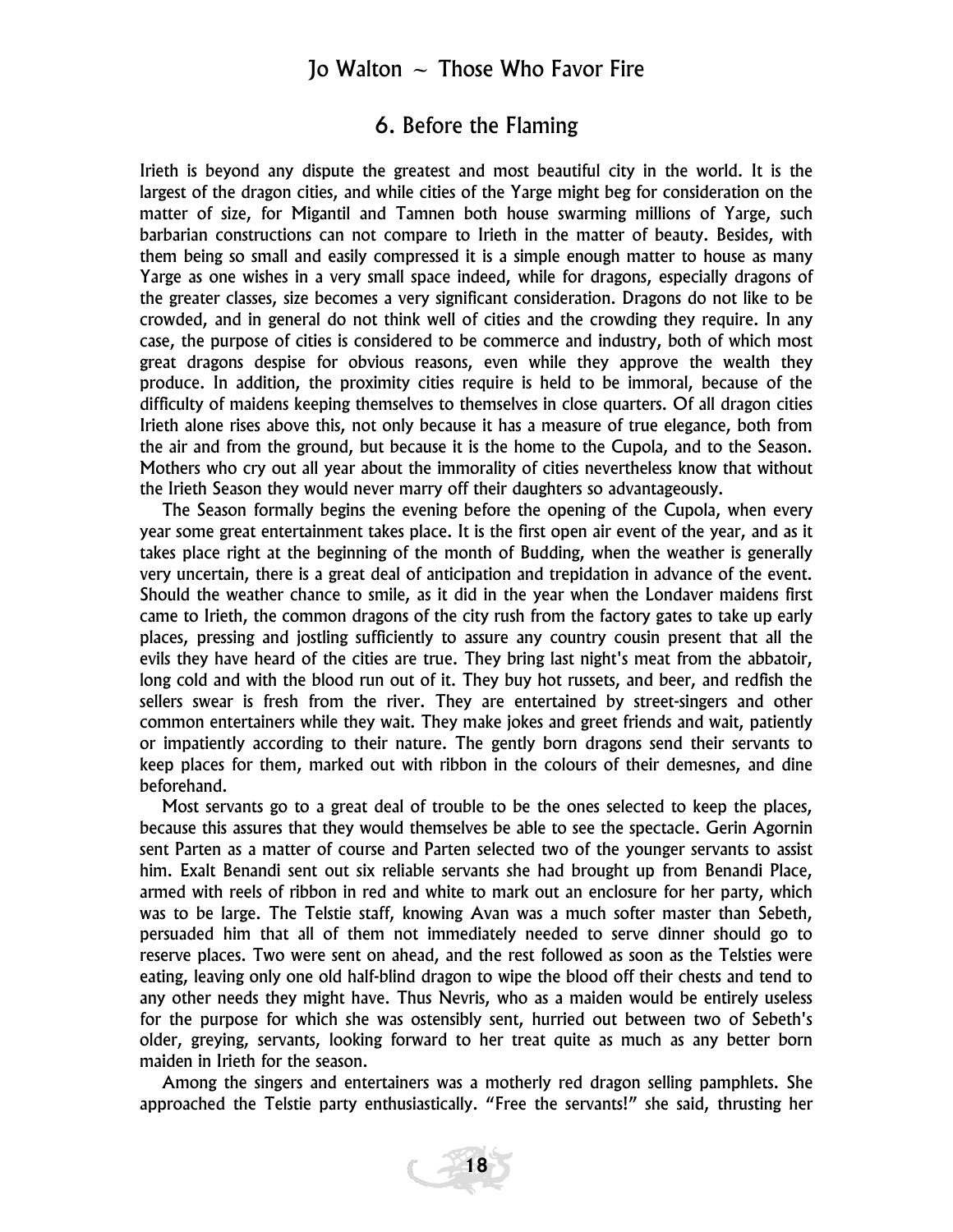#### 6. Before the Flaming

Irieth is beyond any dispute the greatest and most beautiful city in the world. It is the largest of the dragon cities, and while cities of the Yarge might beg for consideration on the matter of size, for Migantil and Tamnen both house swarming millions of Yarge, such barbarian constructions can not compare to Irieth in the matter of beauty. Besides, with them being so small and easily compressed it is a simple enough matter to house as many Yarge as one wishes in a very small space indeed, while for dragons, especially dragons of the greater classes, size becomes a very significant consideration. Dragons do not like to be crowded, and in general do not think well of cities and the crowding they require. In any case, the purpose of cities is considered to be commerce and industry, both of which most great dragons despise for obvious reasons, even while they approve the wealth they produce. In addition, the proximity cities require is held to be immoral, because of the difficulty of maidens keeping themselves to themselves in close quarters. Of all dragon cities Irieth alone rises above this, not only because it has a measure of true elegance, both from the air and from the ground, but because it is the home to the Cupola, and to the Season. Mothers who cry out all year about the immorality of cities nevertheless know that without the Irieth Season they would never marry off their daughters so advantageously.

The Season formally begins the evening before the opening of the Cupola, when every year some great entertainment takes place. It is the first open air event of the year, and as it takes place right at the beginning of the month of Budding, when the weather is generally very uncertain, there is a great deal of anticipation and trepidation in advance of the event. Should the weather chance to smile, as it did in the year when the Londaver maidens first came to Irieth, the common dragons of the city rush from the factory gates to take up early places, pressing and jostling sufficiently to assure any country cousin present that all the evils they have heard of the cities are true. They bring last night's meat from the abbatoir, long cold and with the blood run out of it. They buy hot russets, and beer, and redfish the sellers swear is fresh from the river. They are entertained by street-singers and other common entertainers while they wait. They make jokes and greet friends and wait, patiently or impatiently according to their nature. The gently born dragons send their servants to keep places for them, marked out with ribbon in the colours of their demesnes, and dine beforehand.

Most servants go to a great deal of trouble to be the ones selected to keep the places, because this assures that they would themselves be able to see the spectacle. Gerin Agornin sent Parten as a matter of course and Parten selected two of the younger servants to assist him. Exalt Benandi sent out six reliable servants she had brought up from Benandi Place, armed with reels of ribbon in red and white to mark out an enclosure for her party, which was to be large. The Telstie staff, knowing Avan was a much softer master than Sebeth, persuaded him that all of them not immediately needed to serve dinner should go to reserve places. Two were sent on ahead, and the rest followed as soon as the Telsties were eating, leaving only one old half-blind dragon to wipe the blood off their chests and tend to any other needs they might have. Thus Nevris, who as a maiden would be entirely useless for the purpose for which she was ostensibly sent, hurried out between two of Sebeth's older, greying, servants, looking forward to her treat quite as much as any better born maiden in Irieth for the season.

Among the singers and entertainers was a motherly red dragon selling pamphlets. She approached the Telstie party enthusiastically. "Free the servants!" she said, thrusting her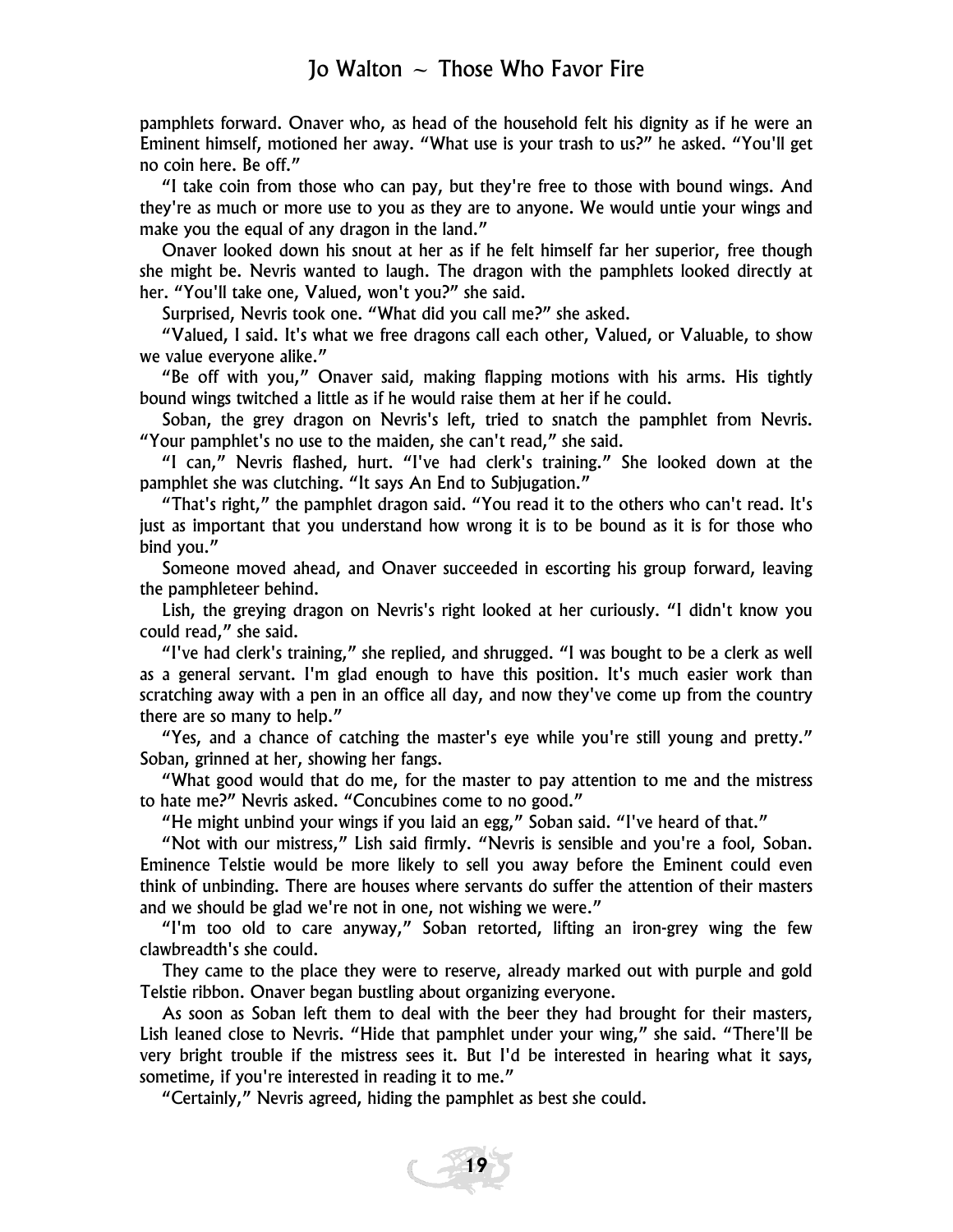pamphlets forward. Onaver who, as head of the household felt his dignity as if he were an Eminent himself, motioned her away. "What use is your trash to us?" he asked. "You'll get no coin here. Be off."

"I take coin from those who can pay, but they're free to those with bound wings. And they're as much or more use to you as they are to anyone. We would untie your wings and make you the equal of any dragon in the land."

Onaver looked down his snout at her as if he felt himself far her superior, free though she might be. Nevris wanted to laugh. The dragon with the pamphlets looked directly at her. "You'll take one, Valued, won't you?" she said.

Surprised, Nevris took one. "What did you call me?" she asked.

"Valued, I said. It's what we free dragons call each other, Valued, or Valuable, to show we value everyone alike."

"Be off with you," Onaver said, making flapping motions with his arms. His tightly bound wings twitched a little as if he would raise them at her if he could.

Soban, the grey dragon on Nevris's left, tried to snatch the pamphlet from Nevris. "Your pamphlet's no use to the maiden, she can't read," she said.

"I can," Nevris flashed, hurt. "I've had clerk's training." She looked down at the pamphlet she was clutching. "It says An End to Subjugation."

"That's right," the pamphlet dragon said. "You read it to the others who can't read. It's just as important that you understand how wrong it is to be bound as it is for those who bind you."

Someone moved ahead, and Onaver succeeded in escorting his group forward, leaving the pamphleteer behind.

Lish, the greying dragon on Nevris's right looked at her curiously. "I didn't know you could read," she said.

"I've had clerk's training," she replied, and shrugged. "I was bought to be a clerk as well as a general servant. I'm glad enough to have this position. It's much easier work than scratching away with a pen in an office all day, and now they've come up from the country there are so many to help."

"Yes, and a chance of catching the master's eye while you're still young and pretty." Soban, grinned at her, showing her fangs.

"What good would that do me, for the master to pay attention to me and the mistress to hate me?" Nevris asked. "Concubines come to no good."

"He might unbind your wings if you laid an egg," Soban said. "I've heard of that."

"Not with our mistress," Lish said firmly. "Nevris is sensible and you're a fool, Soban. Eminence Telstie would be more likely to sell you away before the Eminent could even think of unbinding. There are houses where servants do suffer the attention of their masters and we should be glad we're not in one, not wishing we were."

"I'm too old to care anyway," Soban retorted, lifting an iron-grey wing the few clawbreadth's she could.

They came to the place they were to reserve, already marked out with purple and gold Telstie ribbon. Onaver began bustling about organizing everyone.

As soon as Soban left them to deal with the beer they had brought for their masters, Lish leaned close to Nevris. "Hide that pamphlet under your wing," she said. "There'll be very bright trouble if the mistress sees it. But I'd be interested in hearing what it says, sometime, if you're interested in reading it to me."

"Certainly," Nevris agreed, hiding the pamphlet as best she could.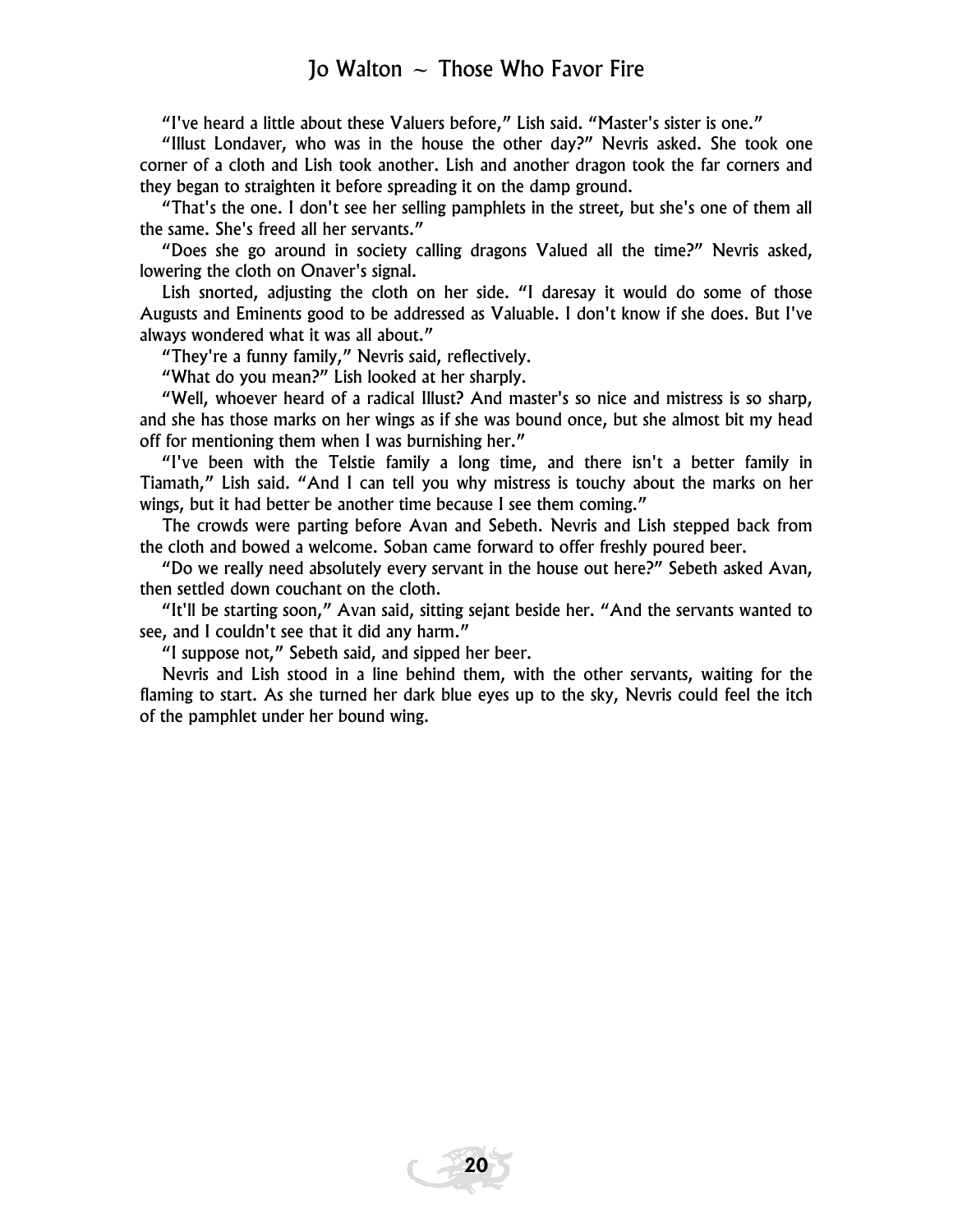"I've heard a little about these Valuers before," Lish said. "Master's sister is one."

"Illust Londaver, who was in the house the other day?" Nevris asked. She took one corner of a cloth and Lish took another. Lish and another dragon took the far corners and they began to straighten it before spreading it on the damp ground.

"That's the one. I don't see her selling pamphlets in the street, but she's one of them all the same. She's freed all her servants."

"Does she go around in society calling dragons Valued all the time?" Nevris asked, lowering the cloth on Onaver's signal.

Lish snorted, adjusting the cloth on her side. "I daresay it would do some of those Augusts and Eminents good to be addressed as Valuable. I don't know if she does. But I've always wondered what it was all about."

"They're a funny family," Nevris said, reflectively.

"What do you mean?" Lish looked at her sharply.

"Well, whoever heard of a radical Illust? And master's so nice and mistress is so sharp, and she has those marks on her wings as if she was bound once, but she almost bit my head off for mentioning them when I was burnishing her."

"I've been with the Telstie family a long time, and there isn't a better family in Tiamath," Lish said. "And I can tell you why mistress is touchy about the marks on her wings, but it had better be another time because I see them coming."

The crowds were parting before Avan and Sebeth. Nevris and Lish stepped back from the cloth and bowed a welcome. Soban came forward to offer freshly poured beer.

"Do we really need absolutely every servant in the house out here?" Sebeth asked Avan, then settled down couchant on the cloth.

"It'll be starting soon," Avan said, sitting sejant beside her. "And the servants wanted to see, and I couldn't see that it did any harm."

"I suppose not," Sebeth said, and sipped her beer.

Nevris and Lish stood in a line behind them, with the other servants, waiting for the flaming to start. As she turned her dark blue eyes up to the sky, Nevris could feel the itch of the pamphlet under her bound wing.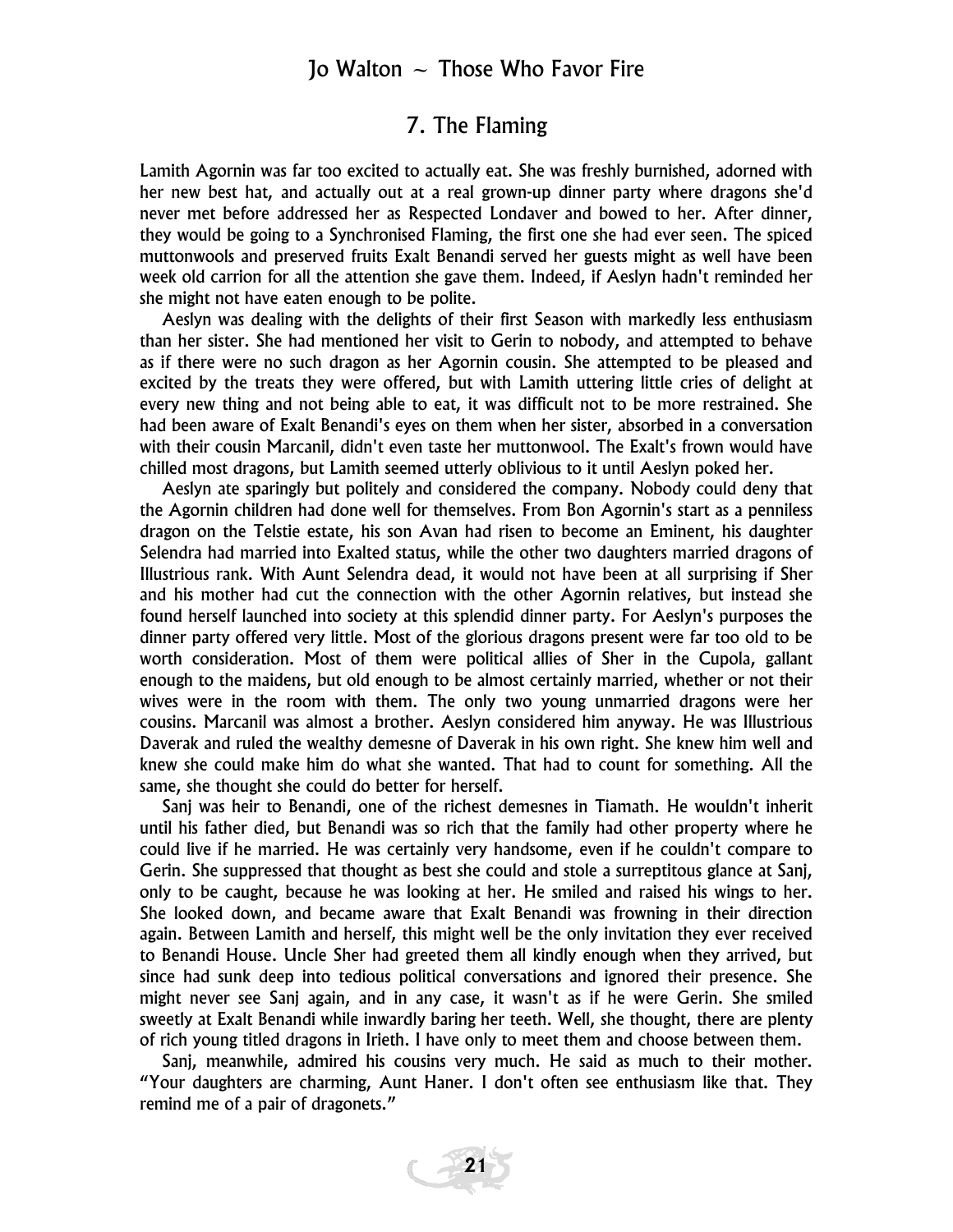#### 7. The Flaming

Lamith Agornin was far too excited to actually eat. She was freshly burnished, adorned with her new best hat, and actually out at a real grown-up dinner party where dragons she'd never met before addressed her as Respected Londaver and bowed to her. After dinner, they would be going to a Synchronised Flaming, the first one she had ever seen. The spiced muttonwools and preserved fruits Exalt Benandi served her guests might as well have been week old carrion for all the attention she gave them. Indeed, if Aeslyn hadn't reminded her she might not have eaten enough to be polite.

Aeslyn was dealing with the delights of their first Season with markedly less enthusiasm than her sister. She had mentioned her visit to Gerin to nobody, and attempted to behave as if there were no such dragon as her Agornin cousin. She attempted to be pleased and excited by the treats they were offered, but with Lamith uttering little cries of delight at every new thing and not being able to eat, it was difficult not to be more restrained. She had been aware of Exalt Benandi's eyes on them when her sister, absorbed in a conversation with their cousin Marcanil, didn't even taste her muttonwool. The Exalt's frown would have chilled most dragons, but Lamith seemed utterly oblivious to it until Aeslyn poked her.

Aeslyn ate sparingly but politely and considered the company. Nobody could deny that the Agornin children had done well for themselves. From Bon Agornin's start as a penniless dragon on the Telstie estate, his son Avan had risen to become an Eminent, his daughter Selendra had married into Exalted status, while the other two daughters married dragons of Illustrious rank. With Aunt Selendra dead, it would not have been at all surprising if Sher and his mother had cut the connection with the other Agornin relatives, but instead she found herself launched into society at this splendid dinner party. For Aeslyn's purposes the dinner party offered very little. Most of the glorious dragons present were far too old to be worth consideration. Most of them were political allies of Sher in the Cupola, gallant enough to the maidens, but old enough to be almost certainly married, whether or not their wives were in the room with them. The only two young unmarried dragons were her cousins. Marcanil was almost a brother. Aeslyn considered him anyway. He was Illustrious Daverak and ruled the wealthy demesne of Daverak in his own right. She knew him well and knew she could make him do what she wanted. That had to count for something. All the same, she thought she could do better for herself.

Sanj was heir to Benandi, one of the richest demesnes in Tiamath. He wouldn't inherit until his father died, but Benandi was so rich that the family had other property where he could live if he married. He was certainly very handsome, even if he couldn't compare to Gerin. She suppressed that thought as best she could and stole a surreptitous glance at Sanj, only to be caught, because he was looking at her. He smiled and raised his wings to her. She looked down, and became aware that Exalt Benandi was frowning in their direction again. Between Lamith and herself, this might well be the only invitation they ever received to Benandi House. Uncle Sher had greeted them all kindly enough when they arrived, but since had sunk deep into tedious political conversations and ignored their presence. She might never see Sanj again, and in any case, it wasn't as if he were Gerin. She smiled sweetly at Exalt Benandi while inwardly baring her teeth. Well, she thought, there are plenty of rich young titled dragons in Irieth. I have only to meet them and choose between them.

Sanj, meanwhile, admired his cousins very much. He said as much to their mother. "Your daughters are charming, Aunt Haner. I don't often see enthusiasm like that. They remind me of a pair of dragonets."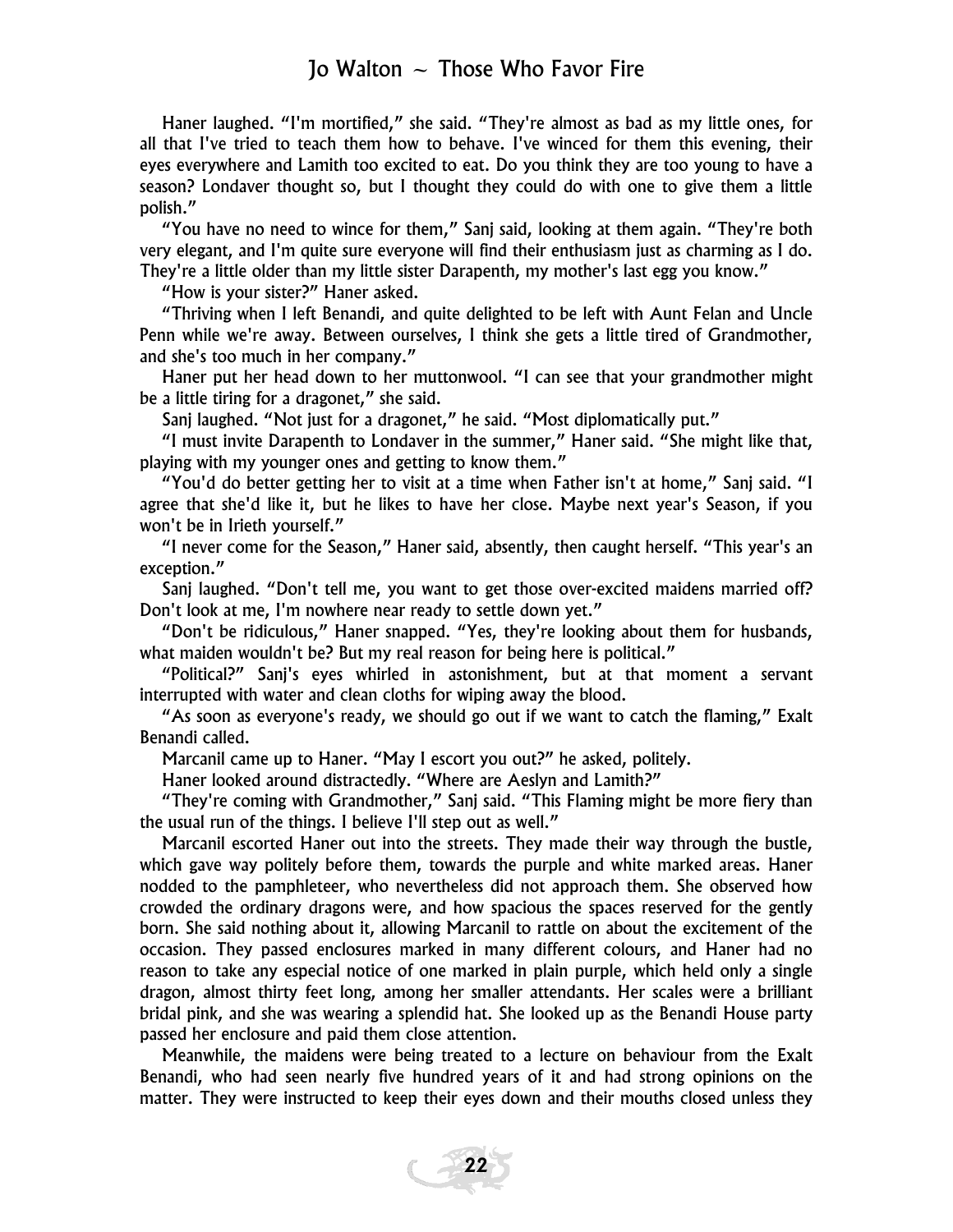Haner laughed. "I'm mortified," she said. "They're almost as bad as my little ones, for all that I've tried to teach them how to behave. I've winced for them this evening, their eyes everywhere and Lamith too excited to eat. Do you think they are too young to have a season? Londaver thought so, but I thought they could do with one to give them a little polish."

"You have no need to wince for them," Sanj said, looking at them again. "They're both very elegant, and I'm quite sure everyone will find their enthusiasm just as charming as I do. They're a little older than my little sister Darapenth, my mother's last egg you know."

"How is your sister?" Haner asked.

"Thriving when I left Benandi, and quite delighted to be left with Aunt Felan and Uncle Penn while we're away. Between ourselves, I think she gets a little tired of Grandmother, and she's too much in her company."

Haner put her head down to her muttonwool. "I can see that your grandmother might be a little tiring for a dragonet," she said.

Sanj laughed. "Not just for a dragonet," he said. "Most diplomatically put."

"I must invite Darapenth to Londaver in the summer," Haner said. "She might like that, playing with my younger ones and getting to know them."

"You'd do better getting her to visit at a time when Father isn't at home," Sanj said. "I agree that she'd like it, but he likes to have her close. Maybe next year's Season, if you won't be in Irieth yourself."

"I never come for the Season," Haner said, absently, then caught herself. "This year's an exception."

Sanj laughed. "Don't tell me, you want to get those over-excited maidens married off? Don't look at me, I'm nowhere near ready to settle down yet."

"Don't be ridiculous," Haner snapped. "Yes, they're looking about them for husbands, what maiden wouldn't be? But my real reason for being here is political."

"Political?" Sanj's eyes whirled in astonishment, but at that moment a servant interrupted with water and clean cloths for wiping away the blood.

"As soon as everyone's ready, we should go out if we want to catch the flaming," Exalt Benandi called.

Marcanil came up to Haner. "May I escort you out?" he asked, politely.

Haner looked around distractedly. "Where are Aeslyn and Lamith?"

"They're coming with Grandmother," Sanj said. "This Flaming might be more fiery than the usual run of the things. I believe I'll step out as well."

Marcanil escorted Haner out into the streets. They made their way through the bustle, which gave way politely before them, towards the purple and white marked areas. Haner nodded to the pamphleteer, who nevertheless did not approach them. She observed how crowded the ordinary dragons were, and how spacious the spaces reserved for the gently born. She said nothing about it, allowing Marcanil to rattle on about the excitement of the occasion. They passed enclosures marked in many different colours, and Haner had no reason to take any especial notice of one marked in plain purple, which held only a single dragon, almost thirty feet long, among her smaller attendants. Her scales were a brilliant bridal pink, and she was wearing a splendid hat. She looked up as the Benandi House party passed her enclosure and paid them close attention.

Meanwhile, the maidens were being treated to a lecture on behaviour from the Exalt Benandi, who had seen nearly five hundred years of it and had strong opinions on the matter. They were instructed to keep their eyes down and their mouths closed unless they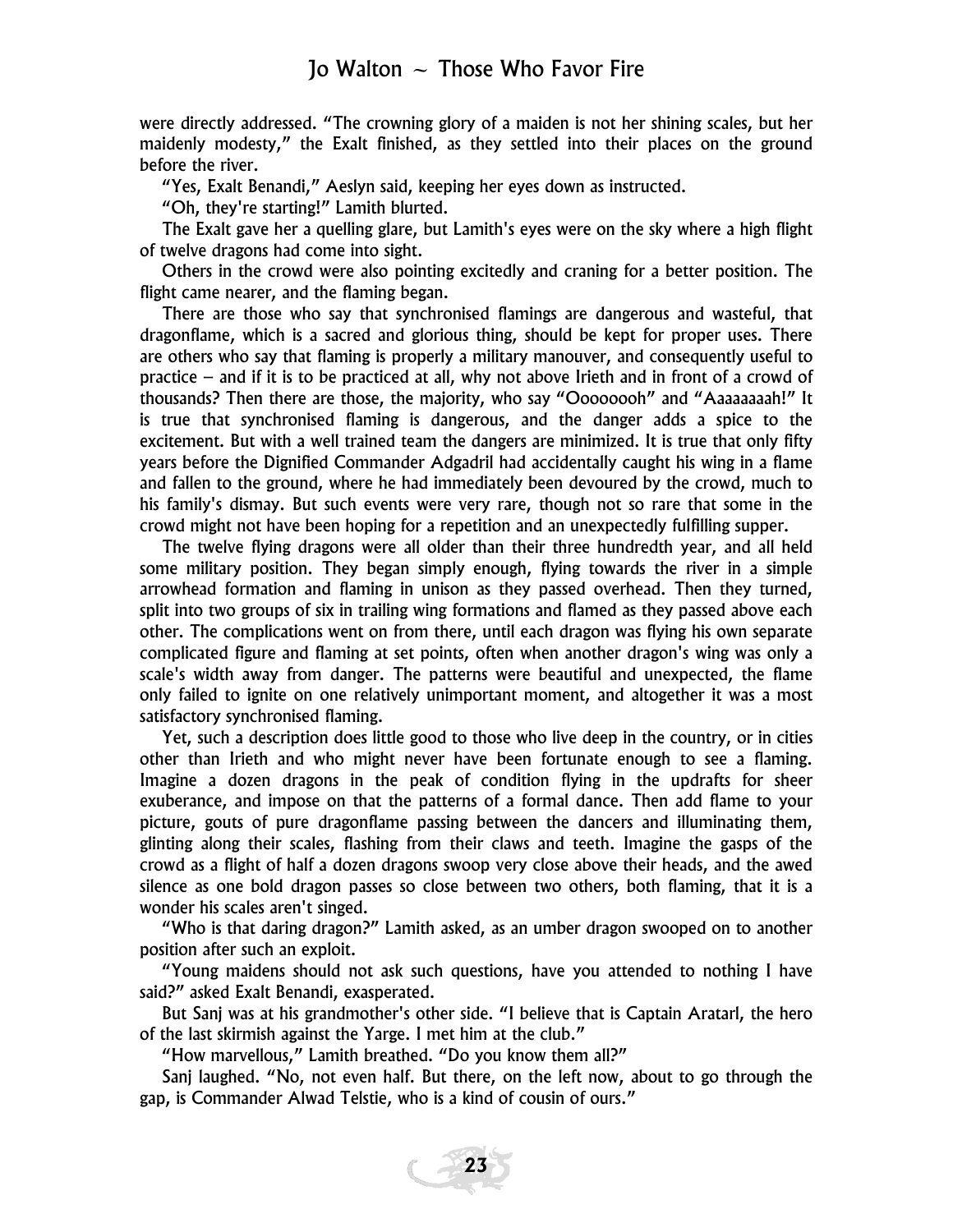were directly addressed. "The crowning glory of a maiden is not her shining scales, but her maidenly modesty," the Exalt finished, as they settled into their places on the ground before the river.

"Yes, Exalt Benandi," Aeslyn said, keeping her eyes down as instructed.

"Oh, they're starting!" Lamith blurted.

The Exalt gave her a quelling glare, but Lamith's eyes were on the sky where a high flight of twelve dragons had come into sight.

Others in the crowd were also pointing excitedly and craning for a better position. The flight came nearer, and the flaming began.

There are those who say that synchronised flamings are dangerous and wasteful, that dragonflame, which is a sacred and glorious thing, should be kept for proper uses. There are others who say that flaming is properly a military manouver, and consequently useful to practice – and if it is to be practiced at all, why not above Irieth and in front of a crowd of thousands? Then there are those, the majority, who say "Oooooooh" and "Aaaaaaaah!" It is true that synchronised flaming is dangerous, and the danger adds a spice to the excitement. But with a well trained team the dangers are minimized. It is true that only fifty years before the Dignified Commander Adgadril had accidentally caught his wing in a flame and fallen to the ground, where he had immediately been devoured by the crowd, much to his family's dismay. But such events were very rare, though not so rare that some in the crowd might not have been hoping for a repetition and an unexpectedly fulfilling supper.

The twelve flying dragons were all older than their three hundredth year, and all held some military position. They began simply enough, flying towards the river in a simple arrowhead formation and flaming in unison as they passed overhead. Then they turned, split into two groups of six in trailing wing formations and flamed as they passed above each other. The complications went on from there, until each dragon was flying his own separate complicated figure and flaming at set points, often when another dragon's wing was only a scale's width away from danger. The patterns were beautiful and unexpected, the flame only failed to ignite on one relatively unimportant moment, and altogether it was a most satisfactory synchronised flaming.

Yet, such a description does little good to those who live deep in the country, or in cities other than Irieth and who might never have been fortunate enough to see a flaming. Imagine a dozen dragons in the peak of condition flying in the updrafts for sheer exuberance, and impose on that the patterns of a formal dance. Then add flame to your picture, gouts of pure dragonflame passing between the dancers and illuminating them, glinting along their scales, flashing from their claws and teeth. Imagine the gasps of the crowd as a flight of half a dozen dragons swoop very close above their heads, and the awed silence as one bold dragon passes so close between two others, both flaming, that it is a wonder his scales aren't singed.

"Who is that daring dragon?" Lamith asked, as an umber dragon swooped on to another position after such an exploit.

"Young maidens should not ask such questions, have you attended to nothing I have said?" asked Exalt Benandi, exasperated.

But Sanj was at his grandmother's other side. "I believe that is Captain Aratarl, the hero of the last skirmish against the Yarge. I met him at the club."

"How marvellous," Lamith breathed. "Do you know them all?"

Sanj laughed. "No, not even half. But there, on the left now, about to go through the gap, is Commander Alwad Telstie, who is a kind of cousin of ours."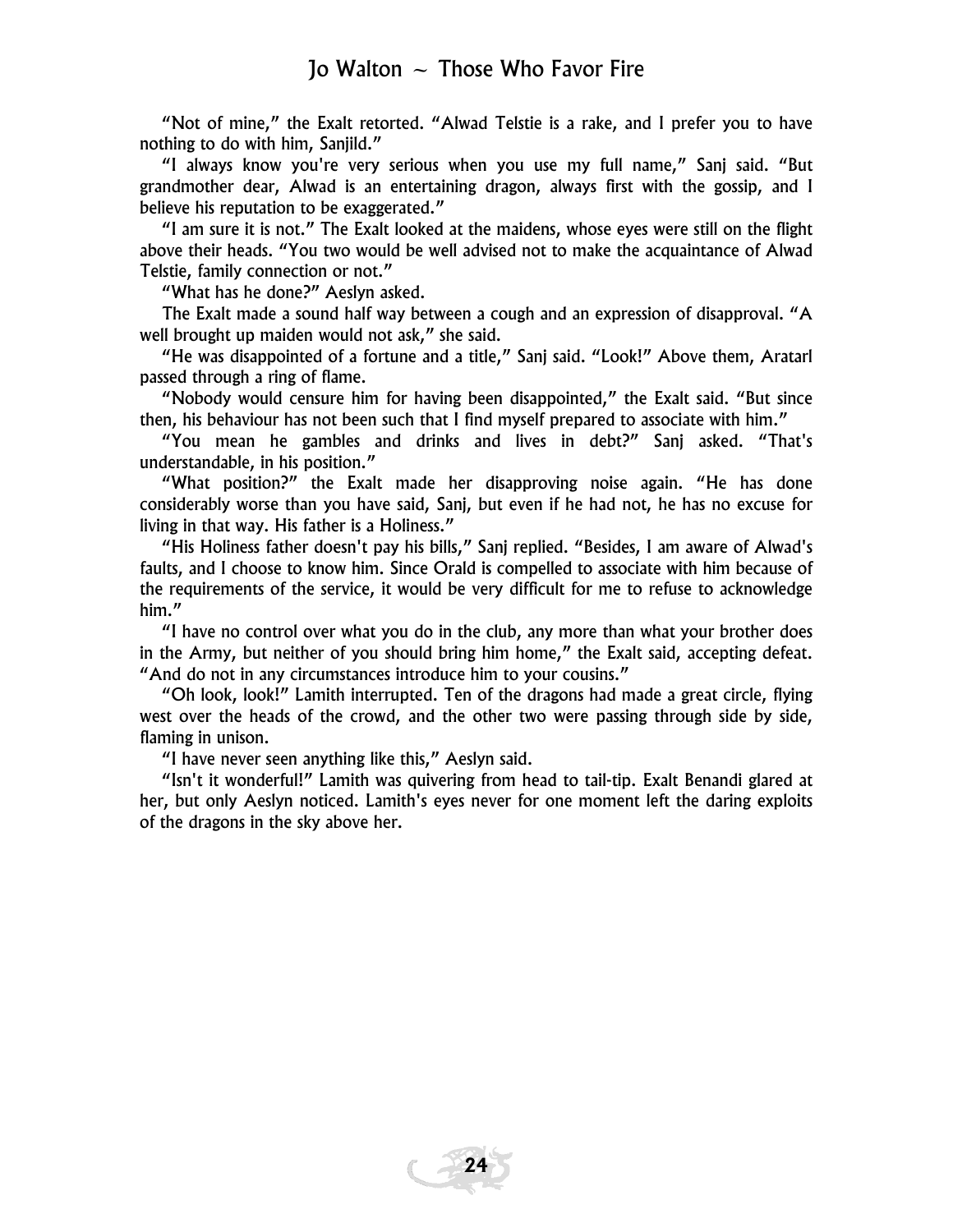"Not of mine," the Exalt retorted. "Alwad Telstie is a rake, and I prefer you to have nothing to do with him, Sanjild."

"I always know you're very serious when you use my full name," Sanj said. "But grandmother dear, Alwad is an entertaining dragon, always first with the gossip, and I believe his reputation to be exaggerated."

"I am sure it is not." The Exalt looked at the maidens, whose eyes were still on the flight above their heads. "You two would be well advised not to make the acquaintance of Alwad Telstie, family connection or not."

"What has he done?" Aeslyn asked.

The Exalt made a sound half way between a cough and an expression of disapproval. "A well brought up maiden would not ask," she said.

"He was disappointed of a fortune and a title," Sanj said. "Look!" Above them, Aratarl passed through a ring of flame.

"Nobody would censure him for having been disappointed," the Exalt said. "But since then, his behaviour has not been such that I find myself prepared to associate with him."

"You mean he gambles and drinks and lives in debt?" Sanj asked. "That's understandable, in his position."

"What position?" the Exalt made her disapproving noise again. "He has done considerably worse than you have said, Sanj, but even if he had not, he has no excuse for living in that way. His father is a Holiness."

"His Holiness father doesn't pay his bills," Sanj replied. "Besides, I am aware of Alwad's faults, and I choose to know him. Since Orald is compelled to associate with him because of the requirements of the service, it would be very difficult for me to refuse to acknowledge him."

"I have no control over what you do in the club, any more than what your brother does in the Army, but neither of you should bring him home," the Exalt said, accepting defeat. "And do not in any circumstances introduce him to your cousins."

"Oh look, look!" Lamith interrupted. Ten of the dragons had made a great circle, flying west over the heads of the crowd, and the other two were passing through side by side, flaming in unison.

"I have never seen anything like this," Aeslyn said.

"Isn't it wonderful!" Lamith was quivering from head to tail-tip. Exalt Benandi glared at her, but only Aeslyn noticed. Lamith's eyes never for one moment left the daring exploits of the dragons in the sky above her.

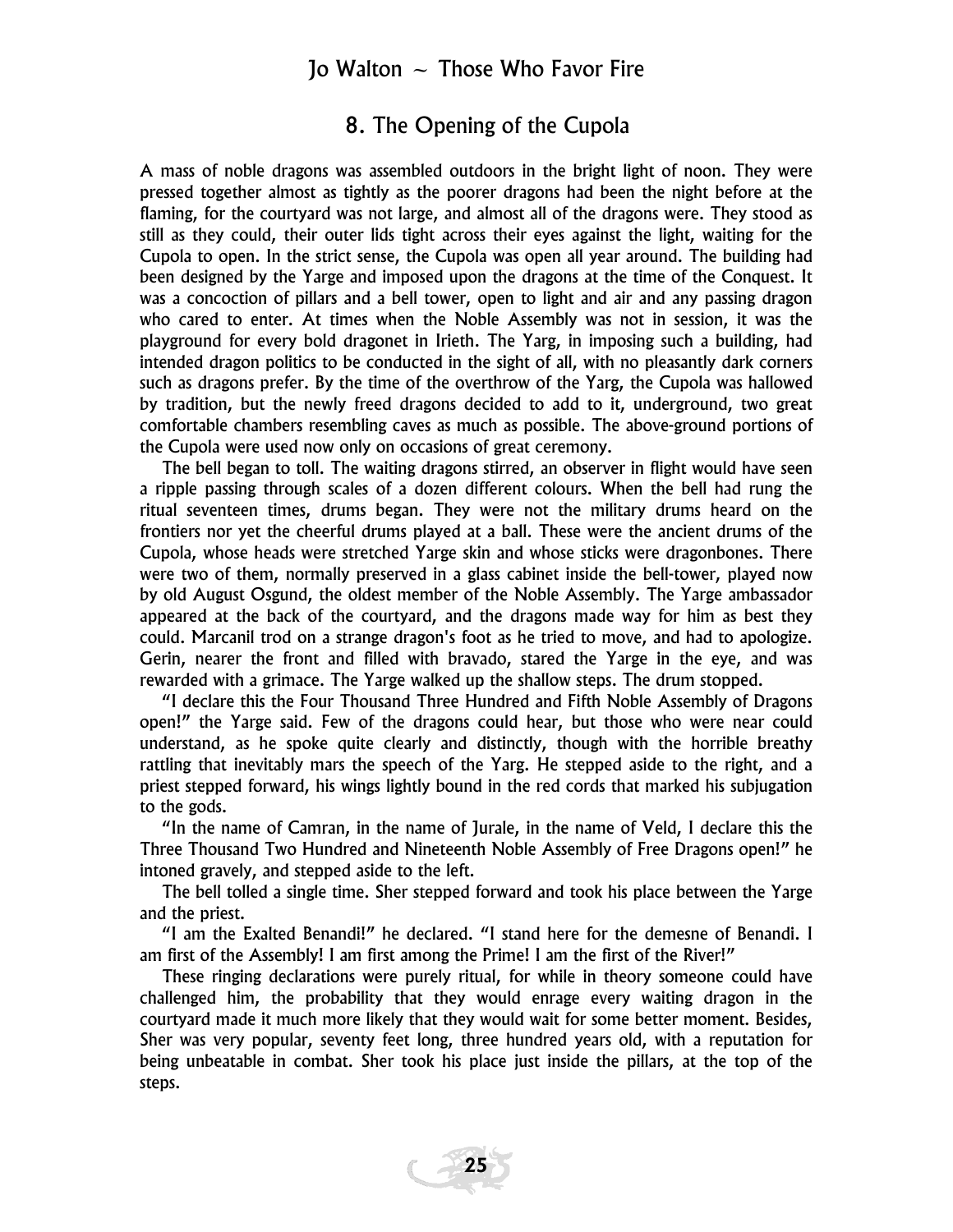#### 8. The Opening of the Cupola

A mass of noble dragons was assembled outdoors in the bright light of noon. They were pressed together almost as tightly as the poorer dragons had been the night before at the flaming, for the courtyard was not large, and almost all of the dragons were. They stood as still as they could, their outer lids tight across their eyes against the light, waiting for the Cupola to open. In the strict sense, the Cupola was open all year around. The building had been designed by the Yarge and imposed upon the dragons at the time of the Conquest. It was a concoction of pillars and a bell tower, open to light and air and any passing dragon who cared to enter. At times when the Noble Assembly was not in session, it was the playground for every bold dragonet in Irieth. The Yarg, in imposing such a building, had intended dragon politics to be conducted in the sight of all, with no pleasantly dark corners such as dragons prefer. By the time of the overthrow of the Yarg, the Cupola was hallowed by tradition, but the newly freed dragons decided to add to it, underground, two great comfortable chambers resembling caves as much as possible. The above-ground portions of the Cupola were used now only on occasions of great ceremony.

The bell began to toll. The waiting dragons stirred, an observer in flight would have seen a ripple passing through scales of a dozen different colours. When the bell had rung the ritual seventeen times, drums began. They were not the military drums heard on the frontiers nor yet the cheerful drums played at a ball. These were the ancient drums of the Cupola, whose heads were stretched Yarge skin and whose sticks were dragonbones. There were two of them, normally preserved in a glass cabinet inside the bell-tower, played now by old August Osgund, the oldest member of the Noble Assembly. The Yarge ambassador appeared at the back of the courtyard, and the dragons made way for him as best they could. Marcanil trod on a strange dragon's foot as he tried to move, and had to apologize. Gerin, nearer the front and filled with bravado, stared the Yarge in the eye, and was rewarded with a grimace. The Yarge walked up the shallow steps. The drum stopped.

"I declare this the Four Thousand Three Hundred and Fifth Noble Assembly of Dragons open!" the Yarge said. Few of the dragons could hear, but those who were near could understand, as he spoke quite clearly and distinctly, though with the horrible breathy rattling that inevitably mars the speech of the Yarg. He stepped aside to the right, and a priest stepped forward, his wings lightly bound in the red cords that marked his subjugation to the gods.

"In the name of Camran, in the name of Jurale, in the name of Veld, I declare this the Three Thousand Two Hundred and Nineteenth Noble Assembly of Free Dragons open!" he intoned gravely, and stepped aside to the left.

The bell tolled a single time. Sher stepped forward and took his place between the Yarge and the priest.

"I am the Exalted Benandi!" he declared. "I stand here for the demesne of Benandi. I am first of the Assembly! I am first among the Prime! I am the first of the River!"

These ringing declarations were purely ritual, for while in theory someone could have challenged him, the probability that they would enrage every waiting dragon in the courtyard made it much more likely that they would wait for some better moment. Besides, Sher was very popular, seventy feet long, three hundred years old, with a reputation for being unbeatable in combat. Sher took his place just inside the pillars, at the top of the steps.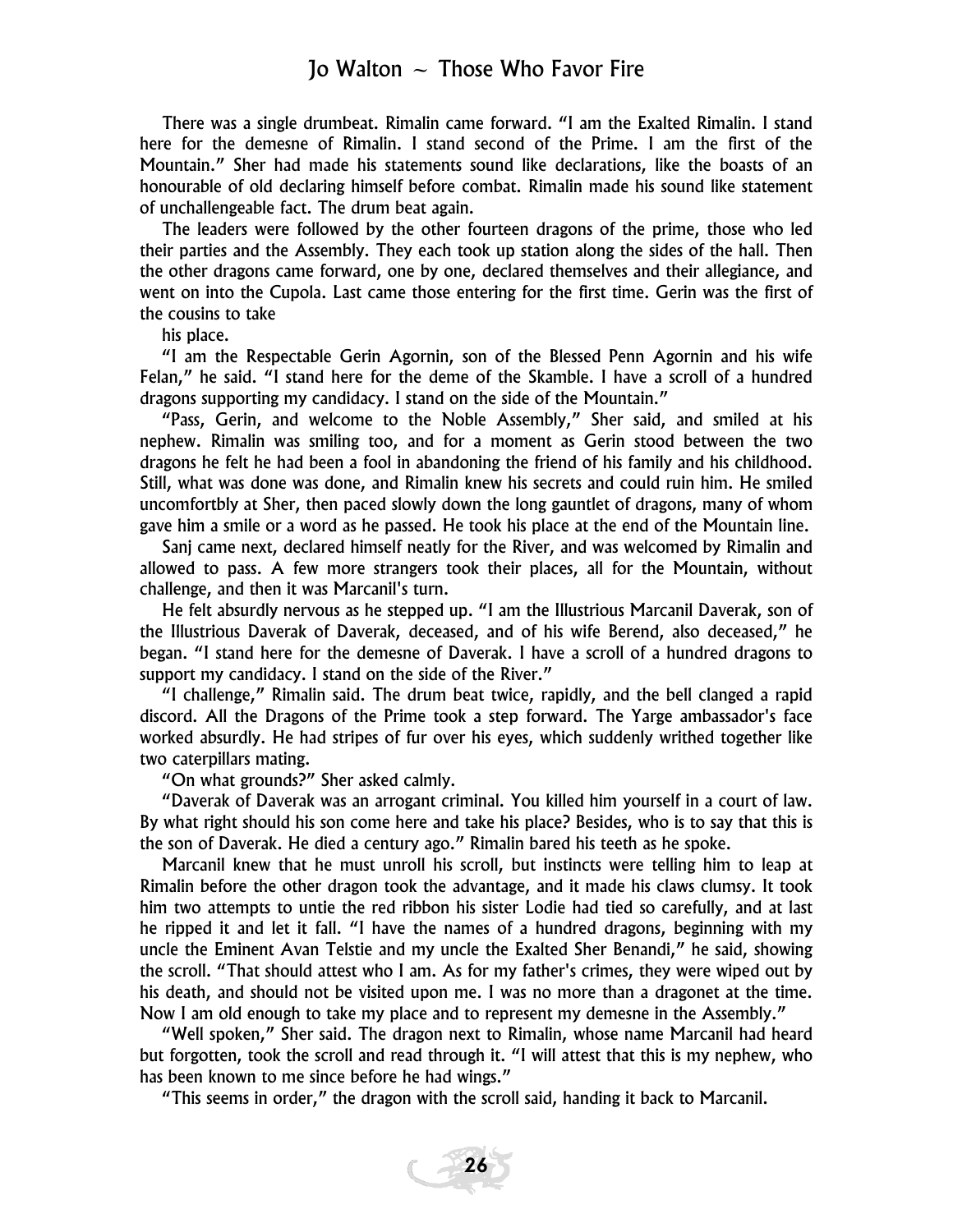There was a single drumbeat. Rimalin came forward. "I am the Exalted Rimalin. I stand here for the demesne of Rimalin. I stand second of the Prime. I am the first of the Mountain." Sher had made his statements sound like declarations, like the boasts of an honourable of old declaring himself before combat. Rimalin made his sound like statement of unchallengeable fact. The drum beat again.

The leaders were followed by the other fourteen dragons of the prime, those who led their parties and the Assembly. They each took up station along the sides of the hall. Then the other dragons came forward, one by one, declared themselves and their allegiance, and went on into the Cupola. Last came those entering for the first time. Gerin was the first of the cousins to take

his place.

"I am the Respectable Gerin Agornin, son of the Blessed Penn Agornin and his wife Felan," he said. "I stand here for the deme of the Skamble. I have a scroll of a hundred dragons supporting my candidacy. I stand on the side of the Mountain."

"Pass, Gerin, and welcome to the Noble Assembly," Sher said, and smiled at his nephew. Rimalin was smiling too, and for a moment as Gerin stood between the two dragons he felt he had been a fool in abandoning the friend of his family and his childhood. Still, what was done was done, and Rimalin knew his secrets and could ruin him. He smiled uncomfortbly at Sher, then paced slowly down the long gauntlet of dragons, many of whom gave him a smile or a word as he passed. He took his place at the end of the Mountain line.

Sanj came next, declared himself neatly for the River, and was welcomed by Rimalin and allowed to pass. A few more strangers took their places, all for the Mountain, without challenge, and then it was Marcanil's turn.

He felt absurdly nervous as he stepped up. "I am the Illustrious Marcanil Daverak, son of the Illustrious Daverak of Daverak, deceased, and of his wife Berend, also deceased," he began. "I stand here for the demesne of Daverak. I have a scroll of a hundred dragons to support my candidacy. I stand on the side of the River."

"I challenge," Rimalin said. The drum beat twice, rapidly, and the bell clanged a rapid discord. All the Dragons of the Prime took a step forward. The Yarge ambassador's face worked absurdly. He had stripes of fur over his eyes, which suddenly writhed together like two caterpillars mating.

"On what grounds?" Sher asked calmly.

"Daverak of Daverak was an arrogant criminal. You killed him yourself in a court of law. By what right should his son come here and take his place? Besides, who is to say that this is the son of Daverak. He died a century ago." Rimalin bared his teeth as he spoke.

Marcanil knew that he must unroll his scroll, but instincts were telling him to leap at Rimalin before the other dragon took the advantage, and it made his claws clumsy. It took him two attempts to untie the red ribbon his sister Lodie had tied so carefully, and at last he ripped it and let it fall. "I have the names of a hundred dragons, beginning with my uncle the Eminent Avan Telstie and my uncle the Exalted Sher Benandi," he said, showing the scroll. "That should attest who I am. As for my father's crimes, they were wiped out by his death, and should not be visited upon me. I was no more than a dragonet at the time. Now I am old enough to take my place and to represent my demesne in the Assembly."

"Well spoken," Sher said. The dragon next to Rimalin, whose name Marcanil had heard but forgotten, took the scroll and read through it. "I will attest that this is my nephew, who has been known to me since before he had wings."

"This seems in order," the dragon with the scroll said, handing it back to Marcanil.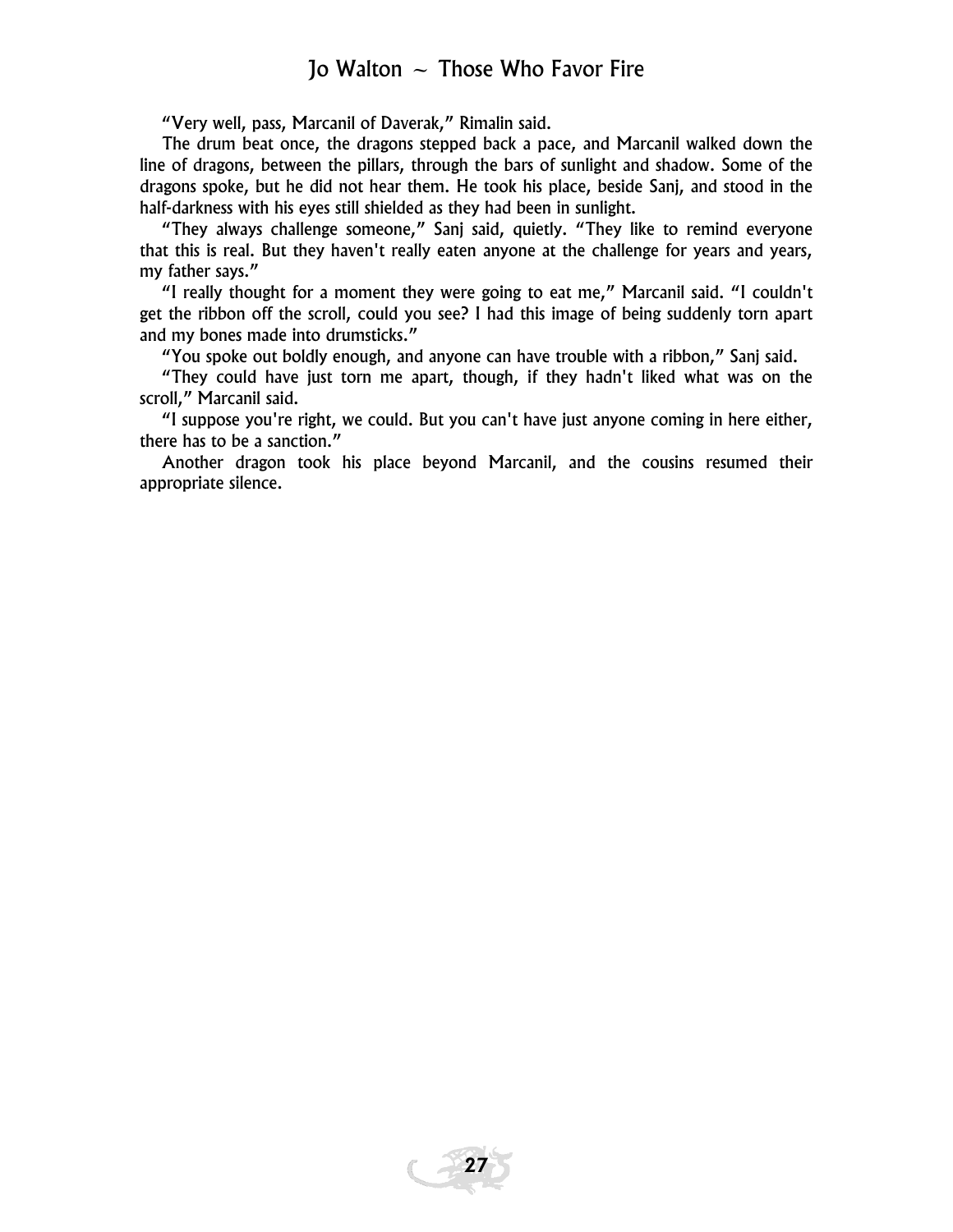"Very well, pass, Marcanil of Daverak," Rimalin said.

The drum beat once, the dragons stepped back a pace, and Marcanil walked down the line of dragons, between the pillars, through the bars of sunlight and shadow. Some of the dragons spoke, but he did not hear them. He took his place, beside Sanj, and stood in the half-darkness with his eyes still shielded as they had been in sunlight.

"They always challenge someone," Sanj said, quietly. "They like to remind everyone that this is real. But they haven't really eaten anyone at the challenge for years and years, my father says."

"I really thought for a moment they were going to eat me," Marcanil said. "I couldn't get the ribbon off the scroll, could you see? I had this image of being suddenly torn apart and my bones made into drumsticks."

"You spoke out boldly enough, and anyone can have trouble with a ribbon," Sanj said.

"They could have just torn me apart, though, if they hadn't liked what was on the scroll," Marcanil said.

"I suppose you're right, we could. But you can't have just anyone coming in here either, there has to be a sanction."

Another dragon took his place beyond Marcanil, and the cousins resumed their appropriate silence.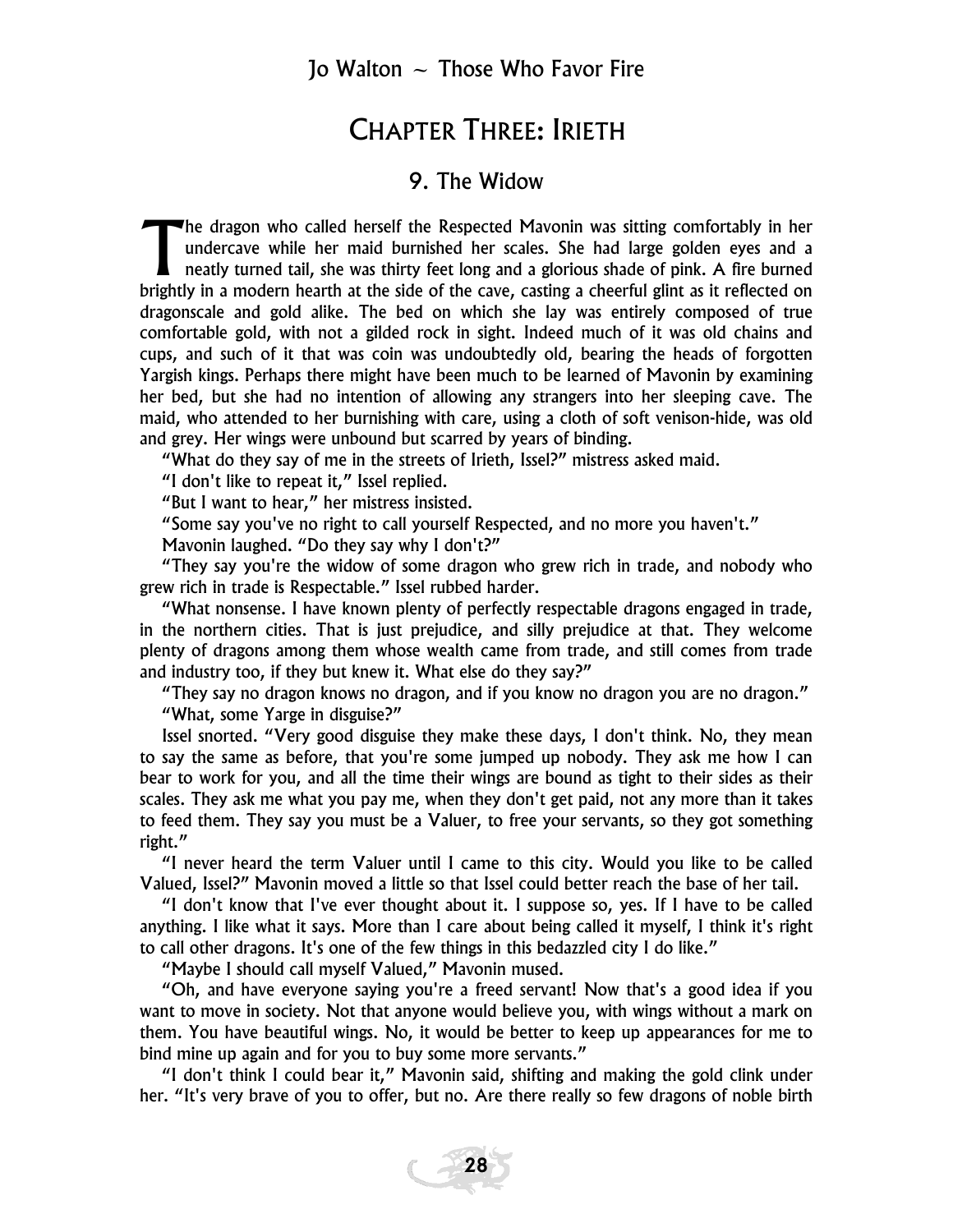#### CHAPTER THREE: IRIETH

#### 9. The Widow

he dragon who called herself the Respected Mavonin was sitting comfortably in her undercave while her maid burnished her scales. She had large golden eyes and a neatly turned tail, she was thirty feet long and a glorious shade of pink. A fire burned The dragon who called herself the Respected Mavonin was sitting comfortably in her undercave while her maid burnished her scales. She had large golden eyes and a neatly turned tail, she was thirty feet long and a glorious dragonscale and gold alike. The bed on which she lay was entirely composed of true comfortable gold, with not a gilded rock in sight. Indeed much of it was old chains and cups, and such of it that was coin was undoubtedly old, bearing the heads of forgotten Yargish kings. Perhaps there might have been much to be learned of Mavonin by examining her bed, but she had no intention of allowing any strangers into her sleeping cave. The maid, who attended to her burnishing with care, using a cloth of soft venison-hide, was old and grey. Her wings were unbound but scarred by years of binding.

"What do they say of me in the streets of Irieth, Issel?" mistress asked maid.

"I don't like to repeat it," Issel replied.

"But I want to hear," her mistress insisted.

"Some say you've no right to call yourself Respected, and no more you haven't."

Mavonin laughed. "Do they say why I don't?"

"They say you're the widow of some dragon who grew rich in trade, and nobody who grew rich in trade is Respectable." Issel rubbed harder.

"What nonsense. I have known plenty of perfectly respectable dragons engaged in trade, in the northern cities. That is just prejudice, and silly prejudice at that. They welcome plenty of dragons among them whose wealth came from trade, and still comes from trade and industry too, if they but knew it. What else do they say?"

"They say no dragon knows no dragon, and if you know no dragon you are no dragon." "What, some Yarge in disguise?"

Issel snorted. "Very good disguise they make these days, I don't think. No, they mean to say the same as before, that you're some jumped up nobody. They ask me how I can bear to work for you, and all the time their wings are bound as tight to their sides as their scales. They ask me what you pay me, when they don't get paid, not any more than it takes to feed them. They say you must be a Valuer, to free your servants, so they got something right."

"I never heard the term Valuer until I came to this city. Would you like to be called Valued, Issel?" Mavonin moved a little so that Issel could better reach the base of her tail.

"I don't know that I've ever thought about it. I suppose so, yes. If I have to be called anything. I like what it says. More than I care about being called it myself, I think it's right to call other dragons. It's one of the few things in this bedazzled city I do like."

"Maybe I should call myself Valued," Mavonin mused.

"Oh, and have everyone saying you're a freed servant! Now that's a good idea if you want to move in society. Not that anyone would believe you, with wings without a mark on them. You have beautiful wings. No, it would be better to keep up appearances for me to bind mine up again and for you to buy some more servants."

"I don't think I could bear it," Mavonin said, shifting and making the gold clink under her. "It's very brave of you to offer, but no. Are there really so few dragons of noble birth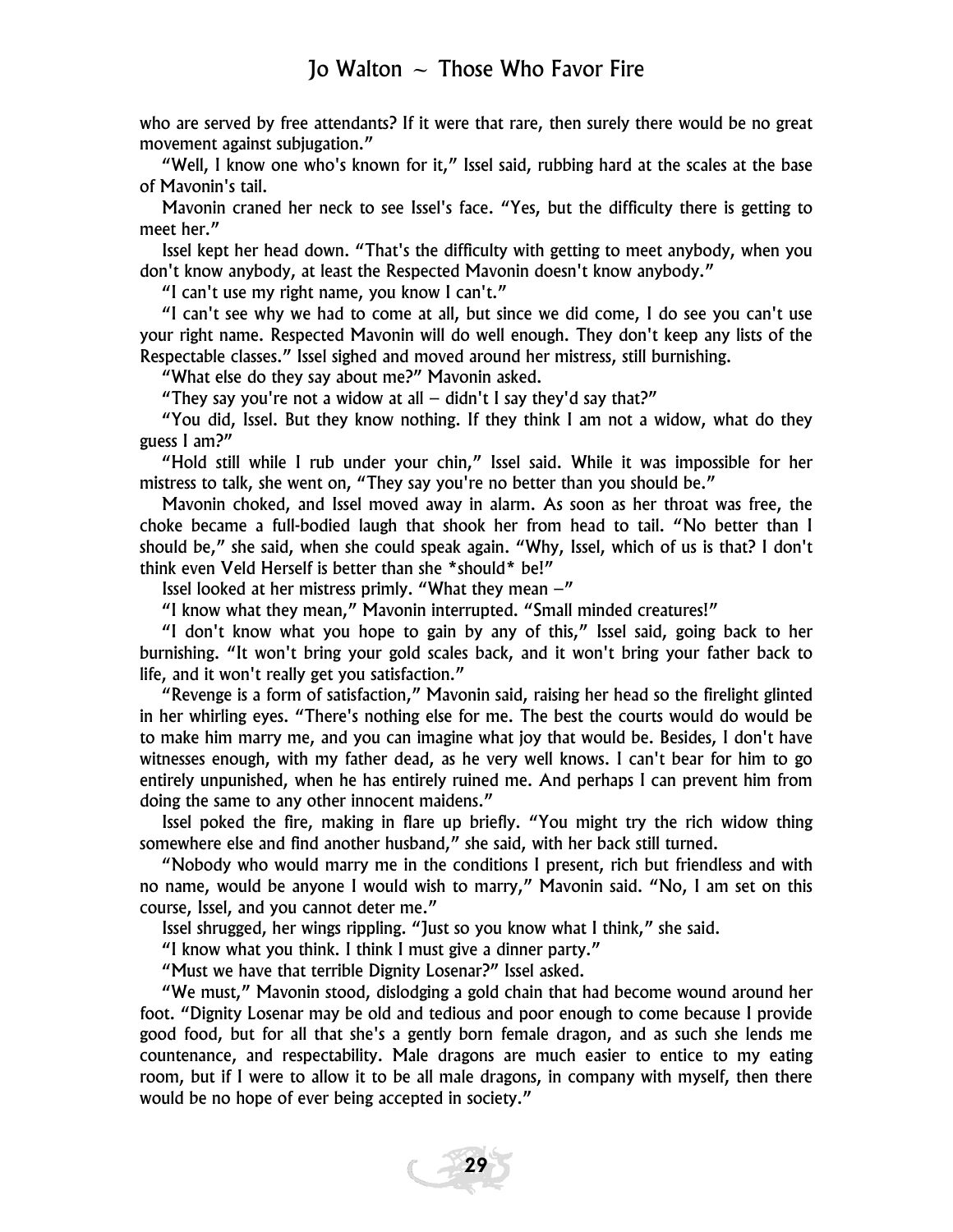who are served by free attendants? If it were that rare, then surely there would be no great movement against subjugation."

"Well, I know one who's known for it," Issel said, rubbing hard at the scales at the base of Mavonin's tail.

Mavonin craned her neck to see Issel's face. "Yes, but the difficulty there is getting to meet her."

Issel kept her head down. "That's the difficulty with getting to meet anybody, when you don't know anybody, at least the Respected Mavonin doesn't know anybody."

"I can't use my right name, you know I can't."

"I can't see why we had to come at all, but since we did come, I do see you can't use your right name. Respected Mavonin will do well enough. They don't keep any lists of the Respectable classes." Issel sighed and moved around her mistress, still burnishing.

"What else do they say about me?" Mavonin asked.

"They say you're not a widow at all  $-$  didn't I say they'd say that?"

"You did, Issel. But they know nothing. If they think I am not a widow, what do they guess I am?"

"Hold still while I rub under your chin," Issel said. While it was impossible for her mistress to talk, she went on, "They say you're no better than you should be."

Mavonin choked, and Issel moved away in alarm. As soon as her throat was free, the choke became a full-bodied laugh that shook her from head to tail. "No better than I should be," she said, when she could speak again. "Why, Issel, which of us is that? I don't think even Veld Herself is better than she \*should\* be!"

Issel looked at her mistress primly. "What they mean  $-$ "

"I know what they mean," Mavonin interrupted. "Small minded creatures!"

"I don't know what you hope to gain by any of this," Issel said, going back to her burnishing. "It won't bring your gold scales back, and it won't bring your father back to life, and it won't really get you satisfaction."

"Revenge is a form of satisfaction," Mavonin said, raising her head so the firelight glinted in her whirling eyes. "There's nothing else for me. The best the courts would do would be to make him marry me, and you can imagine what joy that would be. Besides, I don't have witnesses enough, with my father dead, as he very well knows. I can't bear for him to go entirely unpunished, when he has entirely ruined me. And perhaps I can prevent him from doing the same to any other innocent maidens."

Issel poked the fire, making in flare up briefly. "You might try the rich widow thing somewhere else and find another husband," she said, with her back still turned.

"Nobody who would marry me in the conditions I present, rich but friendless and with no name, would be anyone I would wish to marry," Mavonin said. "No, I am set on this course, Issel, and you cannot deter me."

Issel shrugged, her wings rippling. "Just so you know what I think," she said.

"I know what you think. I think I must give a dinner party."

"Must we have that terrible Dignity Losenar?" Issel asked.

"We must," Mavonin stood, dislodging a gold chain that had become wound around her foot. "Dignity Losenar may be old and tedious and poor enough to come because I provide good food, but for all that she's a gently born female dragon, and as such she lends me countenance, and respectability. Male dragons are much easier to entice to my eating room, but if I were to allow it to be all male dragons, in company with myself, then there would be no hope of ever being accepted in society."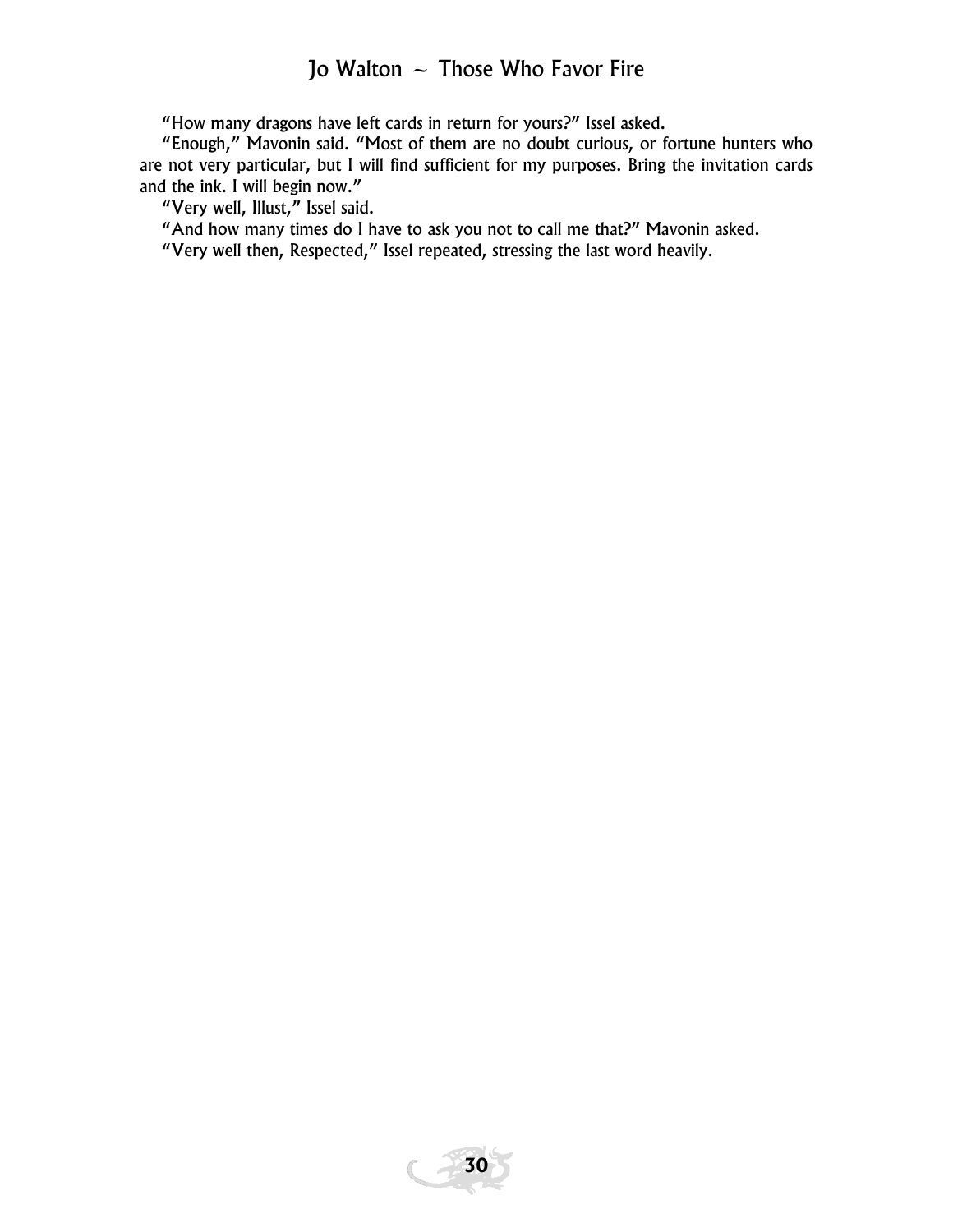"How many dragons have left cards in return for yours?" Issel asked.

"Enough," Mavonin said. "Most of them are no doubt curious, or fortune hunters who are not very particular, but I will find sufficient for my purposes. Bring the invitation cards and the ink. I will begin now."

"Very well, Illust," Issel said.

"And how many times do I have to ask you not to call me that?" Mavonin asked.

"Very well then, Respected," Issel repeated, stressing the last word heavily.

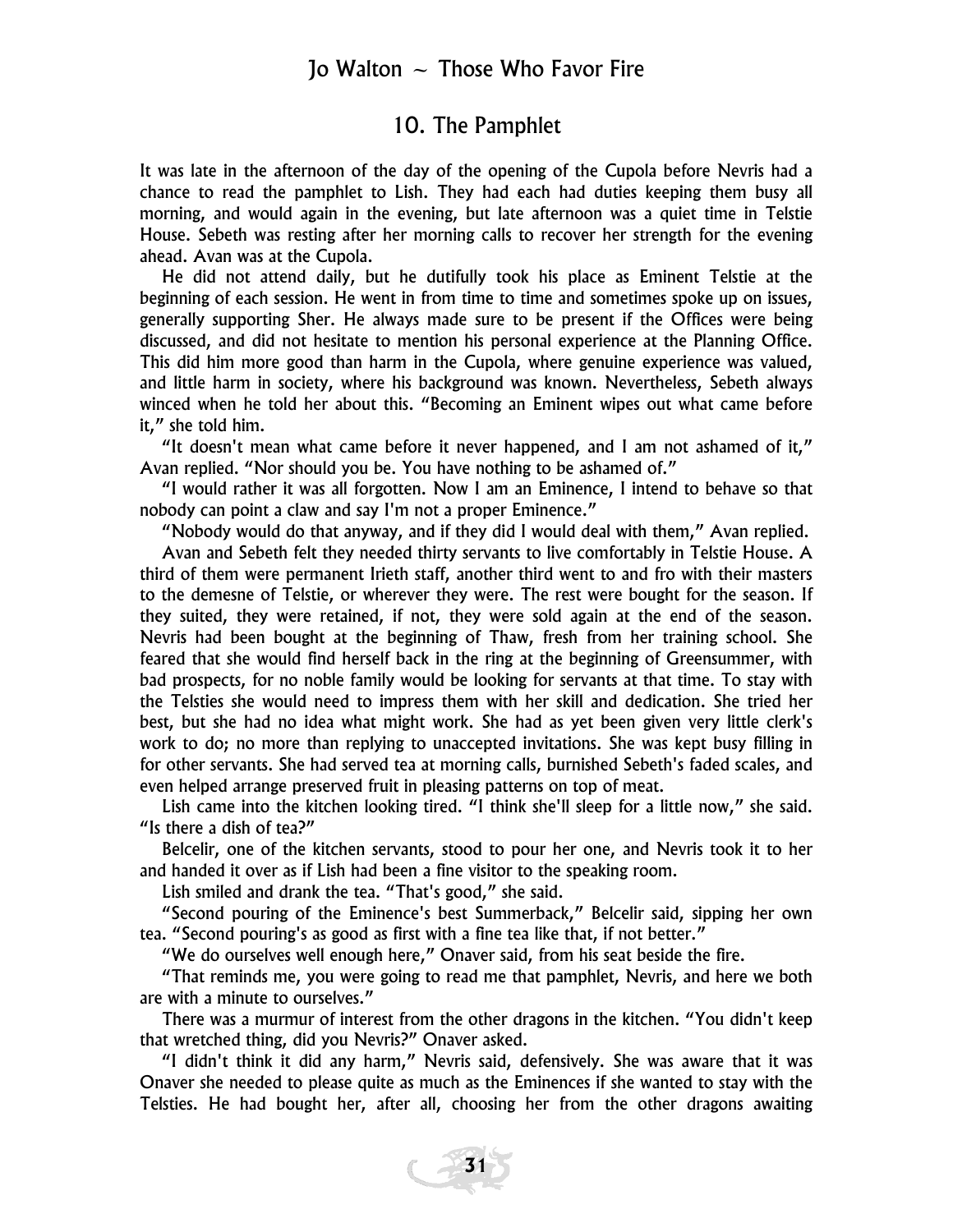#### 10. The Pamphlet

It was late in the afternoon of the day of the opening of the Cupola before Nevris had a chance to read the pamphlet to Lish. They had each had duties keeping them busy all morning, and would again in the evening, but late afternoon was a quiet time in Telstie House. Sebeth was resting after her morning calls to recover her strength for the evening ahead. Avan was at the Cupola.

He did not attend daily, but he dutifully took his place as Eminent Telstie at the beginning of each session. He went in from time to time and sometimes spoke up on issues, generally supporting Sher. He always made sure to be present if the Offices were being discussed, and did not hesitate to mention his personal experience at the Planning Office. This did him more good than harm in the Cupola, where genuine experience was valued, and little harm in society, where his background was known. Nevertheless, Sebeth always winced when he told her about this. "Becoming an Eminent wipes out what came before it," she told him.

"It doesn't mean what came before it never happened, and I am not ashamed of it," Avan replied. "Nor should you be. You have nothing to be ashamed of."

"I would rather it was all forgotten. Now I am an Eminence, I intend to behave so that nobody can point a claw and say I'm not a proper Eminence."

"Nobody would do that anyway, and if they did I would deal with them," Avan replied.

Avan and Sebeth felt they needed thirty servants to live comfortably in Telstie House. A third of them were permanent Irieth staff, another third went to and fro with their masters to the demesne of Telstie, or wherever they were. The rest were bought for the season. If they suited, they were retained, if not, they were sold again at the end of the season. Nevris had been bought at the beginning of Thaw, fresh from her training school. She feared that she would find herself back in the ring at the beginning of Greensummer, with bad prospects, for no noble family would be looking for servants at that time. To stay with the Telsties she would need to impress them with her skill and dedication. She tried her best, but she had no idea what might work. She had as yet been given very little clerk's work to do; no more than replying to unaccepted invitations. She was kept busy filling in for other servants. She had served tea at morning calls, burnished Sebeth's faded scales, and even helped arrange preserved fruit in pleasing patterns on top of meat.

Lish came into the kitchen looking tired. "I think she'll sleep for a little now," she said. "Is there a dish of tea?"

Belcelir, one of the kitchen servants, stood to pour her one, and Nevris took it to her and handed it over as if Lish had been a fine visitor to the speaking room.

Lish smiled and drank the tea. "That's good," she said.

"Second pouring of the Eminence's best Summerback," Belcelir said, sipping her own tea. "Second pouring's as good as first with a fine tea like that, if not better."

"We do ourselves well enough here," Onaver said, from his seat beside the fire.

"That reminds me, you were going to read me that pamphlet, Nevris, and here we both are with a minute to ourselves."

There was a murmur of interest from the other dragons in the kitchen. "You didn't keep that wretched thing, did you Nevris?" Onaver asked.

"I didn't think it did any harm," Nevris said, defensively. She was aware that it was Onaver she needed to please quite as much as the Eminences if she wanted to stay with the Telsties. He had bought her, after all, choosing her from the other dragons awaiting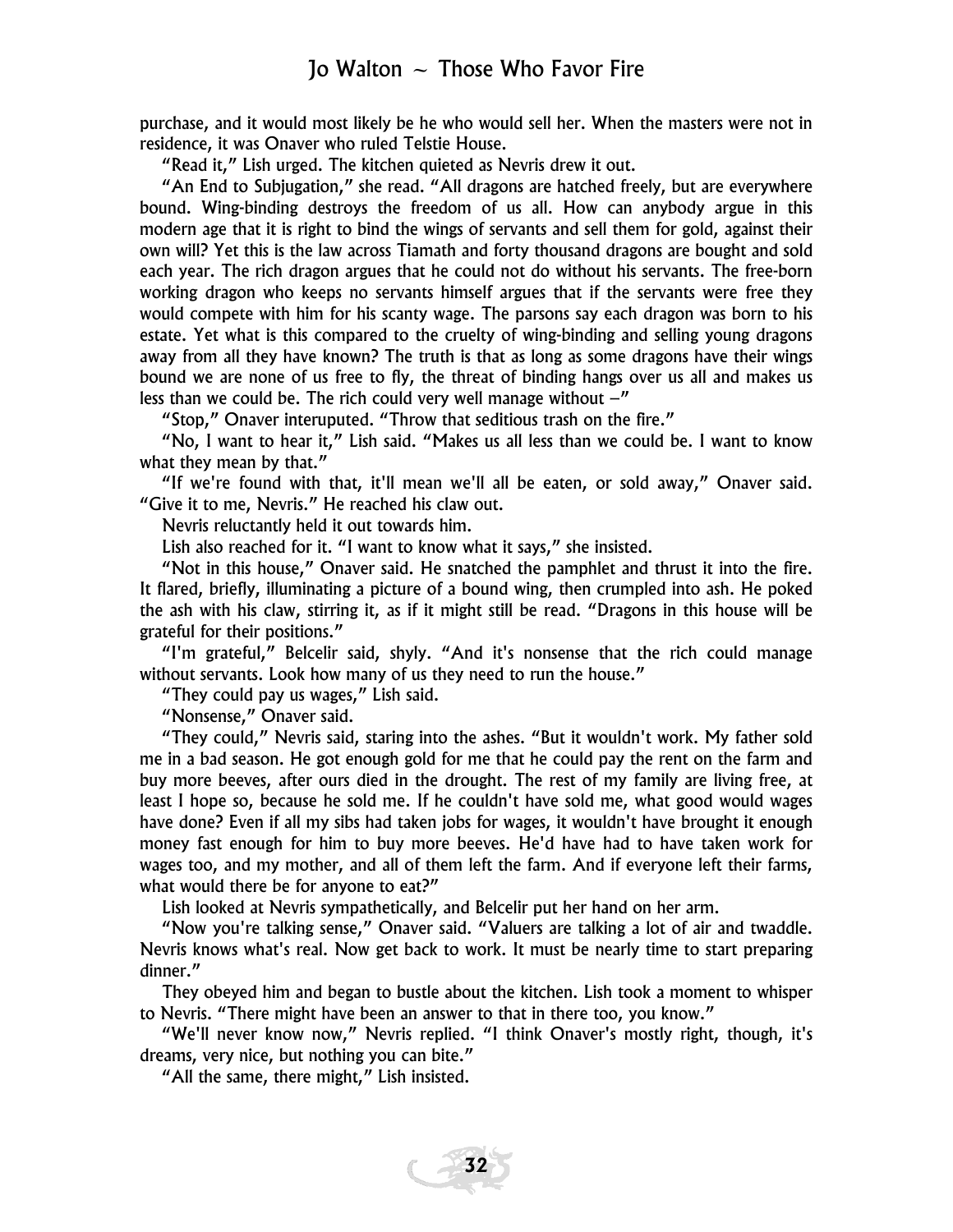purchase, and it would most likely be he who would sell her. When the masters were not in residence, it was Onaver who ruled Telstie House.

"Read it," Lish urged. The kitchen quieted as Nevris drew it out.

"An End to Subjugation," she read. "All dragons are hatched freely, but are everywhere bound. Wing-binding destroys the freedom of us all. How can anybody argue in this modern age that it is right to bind the wings of servants and sell them for gold, against their own will? Yet this is the law across Tiamath and forty thousand dragons are bought and sold each year. The rich dragon argues that he could not do without his servants. The free-born working dragon who keeps no servants himself argues that if the servants were free they would compete with him for his scanty wage. The parsons say each dragon was born to his estate. Yet what is this compared to the cruelty of wing-binding and selling young dragons away from all they have known? The truth is that as long as some dragons have their wings bound we are none of us free to fly, the threat of binding hangs over us all and makes us less than we could be. The rich could very well manage without  $-$ "

"Stop," Onaver interuputed. "Throw that seditious trash on the fire."

"No, I want to hear it," Lish said. "Makes us all less than we could be. I want to know what they mean by that."

"If we're found with that, it'll mean we'll all be eaten, or sold away," Onaver said. "Give it to me, Nevris." He reached his claw out.

Nevris reluctantly held it out towards him.

Lish also reached for it. "I want to know what it says," she insisted.

"Not in this house," Onaver said. He snatched the pamphlet and thrust it into the fire. It flared, briefly, illuminating a picture of a bound wing, then crumpled into ash. He poked the ash with his claw, stirring it, as if it might still be read. "Dragons in this house will be grateful for their positions."

"I'm grateful," Belcelir said, shyly. "And it's nonsense that the rich could manage without servants. Look how many of us they need to run the house."

"They could pay us wages," Lish said.

"Nonsense," Onaver said.

"They could," Nevris said, staring into the ashes. "But it wouldn't work. My father sold me in a bad season. He got enough gold for me that he could pay the rent on the farm and buy more beeves, after ours died in the drought. The rest of my family are living free, at least I hope so, because he sold me. If he couldn't have sold me, what good would wages have done? Even if all my sibs had taken jobs for wages, it wouldn't have brought it enough money fast enough for him to buy more beeves. He'd have had to have taken work for wages too, and my mother, and all of them left the farm. And if everyone left their farms, what would there be for anyone to eat?"

Lish looked at Nevris sympathetically, and Belcelir put her hand on her arm.

"Now you're talking sense," Onaver said. "Valuers are talking a lot of air and twaddle. Nevris knows what's real. Now get back to work. It must be nearly time to start preparing dinner."

They obeyed him and began to bustle about the kitchen. Lish took a moment to whisper to Nevris. "There might have been an answer to that in there too, you know."

"We'll never know now," Nevris replied. "I think Onaver's mostly right, though, it's dreams, very nice, but nothing you can bite."

"All the same, there might," Lish insisted.